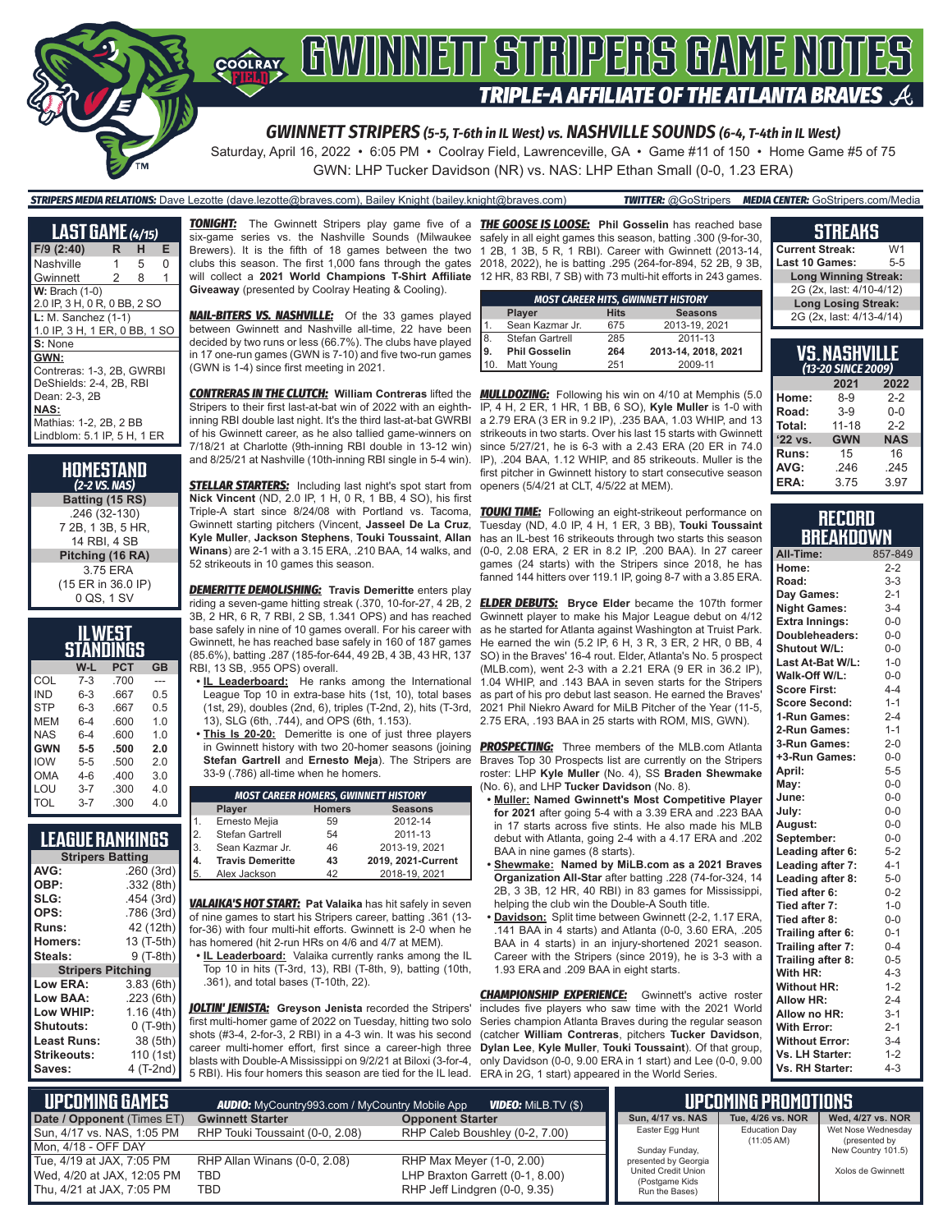

Saturday, April 16, 2022 • 6:05 PM • Coolray Field, Lawrenceville, GA • Game #11 of 150 • Home Game #5 of 75 GWN: LHP Tucker Davidson (NR) vs. NAS: LHP Ethan Small (0-0, 1.23 ERA)

*STRIPERS MEDIA RELATIONS:* Dave Lezotte (dave.lezotte@braves.com), Bailey Knight (bailey.knight@braves.com) *TWITTER:* @GoStripers *MEDIA CENTER:* GoStripers.com/Media

| <b>LAST GAME (4/15)</b>       |   |   |   |  |  |  |  |  |  |
|-------------------------------|---|---|---|--|--|--|--|--|--|
| F/9 (2:40)                    | R | н | Е |  |  |  |  |  |  |
| Nashville                     | 1 | 5 | 0 |  |  |  |  |  |  |
| Gwinnett                      | 2 | 8 | 1 |  |  |  |  |  |  |
| $W:$ Brach $(1-0)$            |   |   |   |  |  |  |  |  |  |
| 2.0 IP, 3 H, 0 R, 0 BB, 2 SO  |   |   |   |  |  |  |  |  |  |
| $L: M.$ Sanchez $(1-1)$       |   |   |   |  |  |  |  |  |  |
| 1.0 IP, 3 H, 1 ER, 0 BB, 1 SO |   |   |   |  |  |  |  |  |  |
| S: None                       |   |   |   |  |  |  |  |  |  |
| GWN:                          |   |   |   |  |  |  |  |  |  |
| Contreras: 1-3, 2B, GWRBI     |   |   |   |  |  |  |  |  |  |
| DeShields: 2-4, 2B, RBI       |   |   |   |  |  |  |  |  |  |
| Dean: 2-3, 2B                 |   |   |   |  |  |  |  |  |  |
| <b>NAS:</b>                   |   |   |   |  |  |  |  |  |  |
| Mathias: 1-2, 2B, 2 BB        |   |   |   |  |  |  |  |  |  |
| Lindblom: 5.1 IP, 5 H, 1 ER   |   |   |   |  |  |  |  |  |  |

| HOMESTAND<br>(2-2 VS. NAS) |
|----------------------------|
| Batting (15 RS)            |
| .246 (32-130)              |
| 7 2B, 1 3B, 5 HR,          |
| 14 RBI, 4 SB               |
| Pitching (16 RA)           |
| 3.75 ERA                   |
| (15 ER in 36.0 IP)         |
| 0 QS, 1 SV                 |

| IL WEST<br>STANDINGS           |         |      |     |  |  |  |  |  |  |
|--------------------------------|---------|------|-----|--|--|--|--|--|--|
| <b>PCT</b><br>W-L<br><b>GB</b> |         |      |     |  |  |  |  |  |  |
| COL                            | $7-3$   | .700 |     |  |  |  |  |  |  |
| <b>IND</b>                     | $6 - 3$ | .667 | 0.5 |  |  |  |  |  |  |
| <b>STP</b>                     | $6 - 3$ | .667 | 0.5 |  |  |  |  |  |  |
| <b>MFM</b>                     | $6 - 4$ | .600 | 1.0 |  |  |  |  |  |  |
| <b>NAS</b>                     | $6 - 4$ | .600 | 1.0 |  |  |  |  |  |  |
| <b>GWN</b>                     | $5 - 5$ | .500 | 2.0 |  |  |  |  |  |  |
| <b>IOW</b>                     | $5 - 5$ | .500 | 20  |  |  |  |  |  |  |
| OMA                            | $4-6$   | .400 | 3.0 |  |  |  |  |  |  |
| LOU                            | $3 - 7$ | .300 | 4.0 |  |  |  |  |  |  |
| TOL                            | $3 - 7$ | .300 | 4.0 |  |  |  |  |  |  |

| <b>LEAGUE RANKINGS</b> |  |  |  |
|------------------------|--|--|--|
|                        |  |  |  |

|                          | <b>Stripers Batting</b> |  |  |  |  |  |  |  |
|--------------------------|-------------------------|--|--|--|--|--|--|--|
| AVG:                     | .260 (3rd)              |  |  |  |  |  |  |  |
| OBP:                     | .332 (8th)              |  |  |  |  |  |  |  |
| SLG:                     | .454 (3rd)              |  |  |  |  |  |  |  |
| OPS:                     | .786 (3rd)              |  |  |  |  |  |  |  |
| Runs:                    | 42 (12th)               |  |  |  |  |  |  |  |
| Homers:                  | 13 (T-5th)              |  |  |  |  |  |  |  |
| Steals:                  | 9 (T-8th)               |  |  |  |  |  |  |  |
| <b>Stripers Pitching</b> |                         |  |  |  |  |  |  |  |
| Low ERA:                 | 3.83(6th)               |  |  |  |  |  |  |  |
| Low BAA:                 | .223(6th)               |  |  |  |  |  |  |  |
| Low WHIP:                | 1.16(4th)               |  |  |  |  |  |  |  |
| <b>Shutouts:</b>         | $0(T-9th)$              |  |  |  |  |  |  |  |
| <b>Least Runs:</b>       | 38 (5th)                |  |  |  |  |  |  |  |
| <b>Strikeouts:</b>       | 110 (1st)               |  |  |  |  |  |  |  |
| Saves:                   | 4 (T-2nd)               |  |  |  |  |  |  |  |

*TONIGHT:* The Gwinnett Stripers play game five of a *THE GOOSE IS LOOSE:* **Phil Gosselin** has reached base six-game series vs. the Nashville Sounds (Milwaukee **Giveaway** (presented by Coolray Heating & Cooling).

**NAIL-BITERS VS. NASHVILLE:** Of the 33 games played between Gwinnett and Nashville all-time, 22 have been decided by two runs or less (66.7%). The clubs have played in 17 one-run games (GWN is 7-10) and five two-run games (GWN is 1-4) since first meeting in 2021.

*CONTRERAS IN THE CLUTCH:* **William Contreras** lifted the *MULLDOZING:* Following his win on 4/10 at Memphis (5.0 Stripers to their first last-at-bat win of 2022 with an eighth-IP, 4 H, 2 ER, 1 HR, 1 BB, 6 SO), **Kyle Muller** is 1-0 with inning RBI double last night. It's the third last-at-bat GWRBI of his Gwinnett career, as he also tallied game-winners on 7/18/21 at Charlotte (9th-inning RBI double in 13-12 win) and 8/25/21 at Nashville (10th-inning RBI single in 5-4 win).

*STELLAR STARTERS:* Including last night's spot start from **Nick Vincent** (ND, 2.0 IP, 1 H, 0 R, 1 BB, 4 SO), his first Triple-A start since 8/24/08 with Portland vs. Tacoma, Gwinnett starting pitchers (Vincent, **Jasseel De La Cruz**, **Kyle Muller**, **Jackson Stephens**, **Touki Toussaint**, **Allan Winans**) are 2-1 with a 3.15 ERA, .210 BAA, 14 walks, and 52 strikeouts in 10 games this season.

*DEMERITTE DEMOLISHING:* **Travis Demeritte** enters play riding a seven-game hitting streak (.370, 10-for-27, 4 2B, 2 3B, 2 HR, 6 R, 7 RBI, 2 SB, 1.341 OPS) and has reached base safely in nine of 10 games overall. For his career with Gwinnett, he has reached base safely in 160 of 187 games (85.6%), batting .287 (185-for-644, 49 2B, 4 3B, 43 HR, 137 RBI, 13 SB, .955 OPS) overall.

- **• IL Leaderboard:** He ranks among the International League Top 10 in extra-base hits (1st, 10), total bases (1st, 29), doubles (2nd, 6), triples (T-2nd, 2), hits (T-3rd, 13), SLG (6th, .744), and OPS (6th, 1.153).
- **• This Is 20-20:** Demeritte is one of just three players in Gwinnett history with two 20-homer seasons (joining **Stefan Gartrell** and **Ernesto Meja**). The Stripers are 33-9 (.786) all-time when he homers.

|                                          | <b>MOST CAREER HOMERS, GWINNETT HISTORY</b> |    |                    |  |  |  |  |  |  |
|------------------------------------------|---------------------------------------------|----|--------------------|--|--|--|--|--|--|
|                                          | <b>Seasons</b><br>Player<br><b>Homers</b>   |    |                    |  |  |  |  |  |  |
|                                          | Ernesto Mejia                               | 59 | 2012-14            |  |  |  |  |  |  |
| $\begin{bmatrix} 2 \\ 3 \end{bmatrix}$   | Stefan Gartrell                             | 54 | 2011-13            |  |  |  |  |  |  |
|                                          | Sean Kazmar Jr.                             | 46 | 2013-19, 2021      |  |  |  |  |  |  |
| $\begin{bmatrix} 4. \\ 5. \end{bmatrix}$ | <b>Travis Demeritte</b>                     | 43 | 2019, 2021-Current |  |  |  |  |  |  |
|                                          | Alex Jackson                                | 42 | 2018-19, 2021      |  |  |  |  |  |  |

*VALAIKA'S HOT START:* **Pat Valaika** has hit safely in seven of nine games to start his Stripers career, batting .361 (13 for-36) with four multi-hit efforts. Gwinnett is 2-0 when he has homered (hit 2-run HRs on 4/6 and 4/7 at MEM).

**• IL Leaderboard:** Valaika currently ranks among the IL Top 10 in hits (T-3rd, 13), RBI (T-8th, 9), batting (10th, .361), and total bases (T-10th, 22).

*JOLTIN' JENISTA:* **Greyson Jenista** recorded the Stripers' first multi-homer game of 2022 on Tuesday, hitting two solo shots (#3-4, 2-for-3, 2 RBI) in a 4-3 win. It was his second career multi-homer effort, first since a career-high three **Dylan Lee**, **Kyle Muller**, **Touki Toussaint**). Of that group, blasts with Double-A Mississippi on 9/2/21 at Biloxi (3-for-4, only Davidson (0-0, 9.00 ERA in 1 start) and Lee (0-0, 9.00 5 RBI). His four homers this season are tied for the IL lead. ERA in 2G, 1 start) appeared in the World Series.

Brewers). It is the fifth of 18 games between the two 1 2B, 1 3B, 5 R, 1 RBI). Career with Gwinnett (2013-14, clubs this season. The first 1,000 fans through the gates 2018, 2022), he is batting .295 (264-for-894, 52 2B, 9 3B, will collect a **2021 World Champions T-Shirt Affiliate**  12 HR, 83 RBI, 7 SB) with 73 multi-hit efforts in 243 games. safely in all eight games this season, batting .300 (9-for-30,

|            | <b>MOST CAREER HITS, GWINNETT HISTORY</b> |     |                     |  |  |  |  |  |  |
|------------|-------------------------------------------|-----|---------------------|--|--|--|--|--|--|
|            | <b>Hits</b><br><b>Seasons</b><br>Player   |     |                     |  |  |  |  |  |  |
|            | Sean Kazmar Jr.                           | 675 | 2013-19, 2021       |  |  |  |  |  |  |
| $\sqrt{8}$ | Stefan Gartrell                           | 285 | 2011-13             |  |  |  |  |  |  |
| 9.         | <b>Phil Gosselin</b>                      | 264 | 2013-14, 2018, 2021 |  |  |  |  |  |  |
|            | Matt Young                                | 251 | 2009-11             |  |  |  |  |  |  |

a 2.79 ERA (3 ER in 9.2 IP), .235 BAA, 1.03 WHIP, and 13 strikeouts in two starts. Over his last 15 starts with Gwinnett since 5/27/21, he is 6-3 with a 2.43 ERA (20 ER in 74.0 IP), .204 BAA, 1.12 WHIP, and 85 strikeouts. Muller is the first pitcher in Gwinnett history to start consecutive season openers (5/4/21 at CLT, 4/5/22 at MEM).

**TOUKI TIME:** Following an eight-strikeout performance on Tuesday (ND, 4.0 IP, 4 H, 1 ER, 3 BB), **Touki Toussaint** has an IL-best 16 strikeouts through two starts this season (0-0, 2.08 ERA, 2 ER in 8.2 IP, .200 BAA). In 27 career games (24 starts) with the Stripers since 2018, he has fanned 144 hitters over 119.1 IP, going 8-7 with a 3.85 ERA.

*ELDER DEBUTS:* **Bryce Elder** became the 107th former Gwinnett player to make his Major League debut on 4/12 as he started for Atlanta against Washington at Truist Park. He earned the win (5.2 IP, 6 H, 3 R, 3 ER, 2 HR, 0 BB, 4 SO) in the Braves' 16-4 rout. Elder, Atlanta's No. 5 prospect (MLB.com), went 2-3 with a 2.21 ERA (9 ER in 36.2 IP), 1.04 WHIP, and .143 BAA in seven starts for the Stripers as part of his pro debut last season. He earned the Braves' 2021 Phil Niekro Award for Mil B Pitcher of the Year (11-5) 2.75 ERA, .193 BAA in 25 starts with ROM, MIS, GWN).

**PROSPECTING:** Three members of the MLB.com Atlanta Braves Top 30 Prospects list are currently on the Stripers roster: LHP **Kyle Muller** (No. 4), SS **Braden Shewmake**  (No. 6), and LHP **Tucker Davidson** (No. 8).

- **• Muller: Named Gwinnett's Most Competitive Player for 2021** after going 5-4 with a 3.39 ERA and .223 BAA in 17 starts across five stints. He also made his MLB debut with Atlanta, going 2-4 with a 4.17 ERA and .202 BAA in nine games (8 starts).
- **• Shewmake: Named by MiLB.com as a 2021 Braves Organization All-Star** after batting .228 (74-for-324, 14 2B, 3 3B, 12 HR, 40 RBI) in 83 games for Mississippi, helping the club win the Double-A South title.
- **• Davidson:** Split time between Gwinnett (2-2, 1.17 ERA, .141 BAA in 4 starts) and Atlanta (0-0, 3.60 ERA, .205 BAA in 4 starts) in an injury-shortened 2021 season. Career with the Stripers (since 2019), he is 3-3 with a 1.93 ERA and .209 BAA in eight starts.

**CHAMPIONSHIP EXPERIENCE:** Gwinnett's active roster includes five players who saw time with the 2021 World Series champion Atlanta Braves during the regular season (catcher **William Contreras**, pitchers **Tucker Davidson**,

| STREAKS |  |
|---------|--|
|---------|--|

**Current Streak:** W1<br>Last 10 Games: 5-5 **Last 10 Games: Long Winning Streak:** 2G (2x, last: 4/10-4/12) **Long Losing Streak:** 2G (2x, last: 4/13-4/14)

| <b>VS. NASHVILLE</b><br>(13-20 SINCE 2009) |            |            |  |  |  |  |  |  |  |
|--------------------------------------------|------------|------------|--|--|--|--|--|--|--|
| 2021<br>2022                               |            |            |  |  |  |  |  |  |  |
| Home:                                      | $8 - 9$    | $2 - 2$    |  |  |  |  |  |  |  |
| Road:                                      | $3 - 9$    | $0 - 0$    |  |  |  |  |  |  |  |
| Total:                                     | $11 - 18$  | $2 - 2$    |  |  |  |  |  |  |  |
| '22 vs.                                    | <b>GWN</b> | <b>NAS</b> |  |  |  |  |  |  |  |
| <b>Runs:</b>                               | 15         | 16         |  |  |  |  |  |  |  |
| AVG:                                       | .246       | .245       |  |  |  |  |  |  |  |
| ERA:                                       | 3.75       | 3.97       |  |  |  |  |  |  |  |

### **RECORD BREAKDOWN**

| All-Time:             | 857-849 |
|-----------------------|---------|
| Home:                 | $2 - 2$ |
| Road:                 | $3 - 3$ |
| Day Games:            | $2 - 1$ |
| <b>Night Games:</b>   | $3 - 4$ |
| <b>Extra Innings:</b> | $0-0$   |
| Doubleheaders:        | $0-0$   |
| <b>Shutout W/L:</b>   | $0-0$   |
| Last At-Bat W/L:      | $1 - 0$ |
| Walk-Off W/L:         | $0 - 0$ |
| <b>Score First:</b>   | $4 - 4$ |
| <b>Score Second:</b>  | $1 - 1$ |
| 1-Run Games:          | $2 - 4$ |
| 2-Run Games:          | $1 - 1$ |
| 3-Run Games:          | $2 - 0$ |
| +3-Run Games:         | $0 - 0$ |
| April:                | $5 - 5$ |
| Mav:                  | $0-0$   |
| June:                 | $0-0$   |
| July:                 | $0-0$   |
| August:               | 0-0     |
| September:            | $0-0$   |
| Leading after 6:      | $5-2$   |
| Leading after 7:      | $4 - 1$ |
| Leading after 8:      | $5-0$   |
| Tied after 6:         | $0 - 2$ |
| Tied after 7:         | $1 - 0$ |
| Tied after 8:         | $0-0$   |
| Trailing after 6:     | $0 - 1$ |
| Trailing after 7:     | $0 - 4$ |
| Trailing after 8:     | $0 - 5$ |
| With HR:              | $4 - 3$ |
| <b>Without HR:</b>    | $1 - 2$ |
| <b>Allow HR:</b>      | $2 - 4$ |
| Allow no HR:          | $3 - 1$ |
| <b>With Error:</b>    | $2 - 1$ |
| <b>Without Error:</b> | $3 - 4$ |
| Vs. LH Starter:       | $1 - 2$ |
| Vs. RH Starter:       | $4 - 3$ |

| Lupcoming Games I                                                                    | <b>AUDIO:</b> MyCountry993.com / MyCountry Mobile App |                                                                                               | UPCOMING PROMOTIONS                                                             |                                              |                                     |
|--------------------------------------------------------------------------------------|-------------------------------------------------------|-----------------------------------------------------------------------------------------------|---------------------------------------------------------------------------------|----------------------------------------------|-------------------------------------|
| Date / Opponent (Times ET)                                                           | <b>Gwinnett Starter</b>                               | <b>Opponent Starter</b>                                                                       | Sun, 4/17 vs. NAS                                                               | Tue, 4/26 vs. NOR                            | Wed, 4/27 vs. NOR                   |
| Sun, 4/17 vs. NAS, 1:05 PM                                                           | RHP Touki Toussaint (0-0, 2.08)                       | RHP Caleb Boushley (0-2, 7.00)                                                                | Easter Egg Hunt                                                                 | <b>Education Day</b><br>$(11:05 \text{ AM})$ | Wet Nose Wednesday<br>(presented by |
| l Mon. 4/18 - OFF DAY                                                                |                                                       |                                                                                               | Sunday Funday,                                                                  |                                              | New Country 101.5)                  |
| Tue, 4/19 at JAX, 7:05 PM<br>Wed, 4/20 at JAX, 12:05 PM<br>Thu, 4/21 at JAX, 7:05 PM | RHP Allan Winans (0-0, 2.08)<br><b>TBD</b><br>TBD     | RHP Max Meyer (1-0, 2.00)<br>LHP Braxton Garrett (0-1, 8.00)<br>RHP Jeff Lindgren (0-0, 9.35) | presented by Georgia<br>United Credit Union<br>(Postgame Kids<br>Run the Bases) |                                              | Xolos de Gwinnett                   |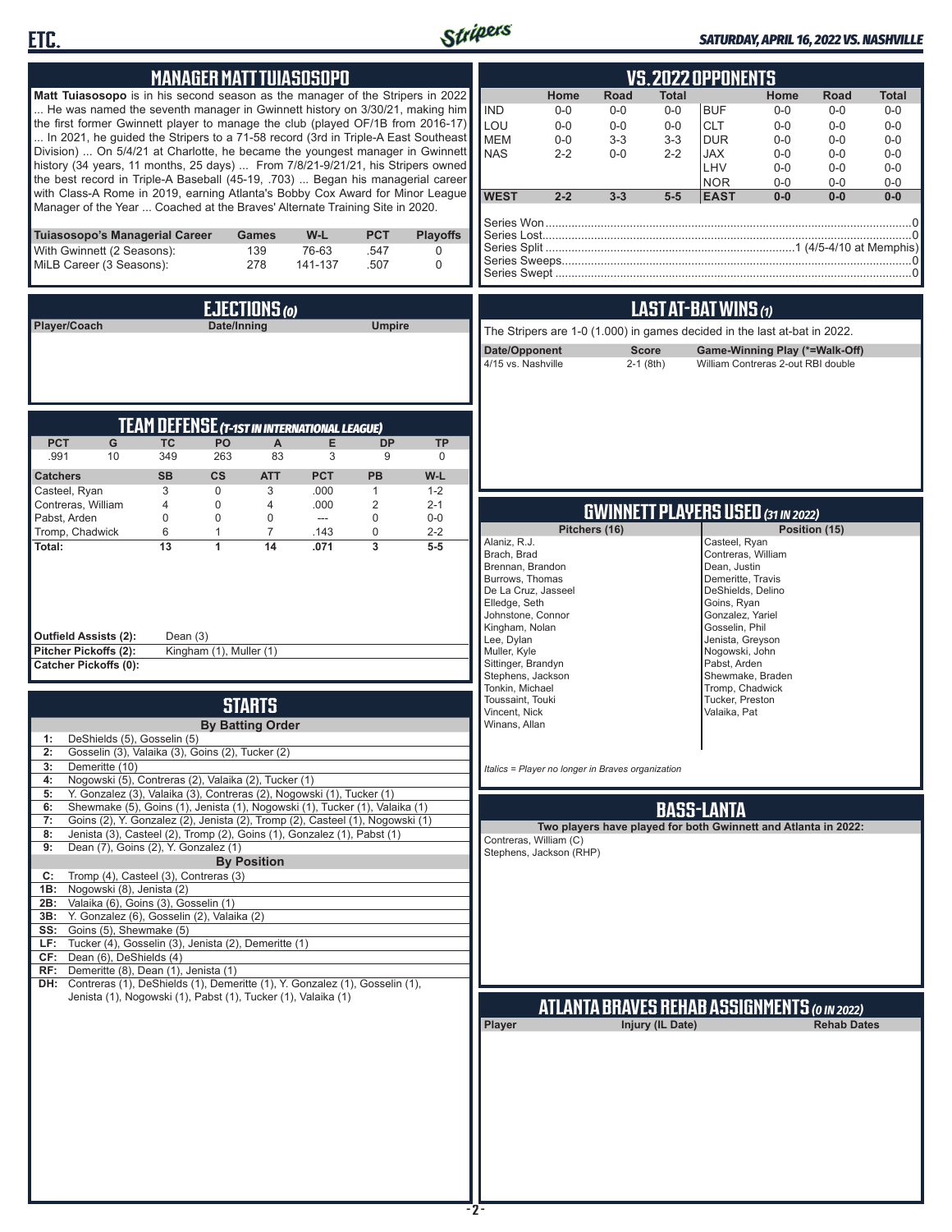



### *SATURDAY, APRIL 16, 2022 VS. NASHVILLE*

|                                                                                                                                                                  |                  |                          |                               | <b>MANAGER MATT TUIASOSOPO</b>                      |                    |                                |                                |                                                                           |               |                  | <b>VS. 2022 OPPONENTS</b>                 |                                    |                                                                |                |
|------------------------------------------------------------------------------------------------------------------------------------------------------------------|------------------|--------------------------|-------------------------------|-----------------------------------------------------|--------------------|--------------------------------|--------------------------------|---------------------------------------------------------------------------|---------------|------------------|-------------------------------------------|------------------------------------|----------------------------------------------------------------|----------------|
| Matt Tuiasosopo is in his second season as the manager of the Stripers in 2022                                                                                   |                  |                          |                               |                                                     |                    |                                |                                | Home                                                                      | Road          | Total            |                                           | Home                               | Road                                                           | <b>Total</b>   |
| He was named the seventh manager in Gwinnett history on 3/30/21, making him                                                                                      |                  |                          |                               |                                                     |                    |                                | <b>IND</b>                     | $0-0$                                                                     | $0-0$         | $0-0$            | <b>BUF</b>                                | $0-0$                              | $0-0$                                                          | $0-0$          |
| the first former Gwinnett player to manage the club (played OF/1B from 2016-17)                                                                                  |                  |                          |                               |                                                     |                    |                                | LOU                            | $0 - 0$                                                                   | $0-0$         | $0-0$            | <b>CLT</b>                                | $0-0$                              | $0-0$                                                          | $0 - 0$        |
| In 2021, he guided the Stripers to a 71-58 record (3rd in Triple-A East Southeast                                                                                |                  |                          |                               |                                                     |                    |                                | <b>MEM</b>                     | $0-0$                                                                     | $3-3$         | $3 - 3$          | <b>DUR</b>                                | $0-0$                              | $0-0$                                                          | $0-0$          |
| Division)  On 5/4/21 at Charlotte, he became the youngest manager in Gwinnett<br>history (34 years, 11 months, 25 days)  From 7/8/21-9/21/21, his Stripers owned |                  |                          |                               |                                                     |                    |                                | <b>NAS</b>                     | $2 - 2$                                                                   | $0 - 0$       | $2 - 2$          | JAX                                       | $0 - 0$                            | $0 - 0$                                                        | $0-0$          |
| the best record in Triple-A Baseball (45-19, .703)  Began his managerial career                                                                                  |                  |                          |                               |                                                     |                    |                                |                                |                                                                           |               |                  | LHV<br><b>NOR</b>                         | $0-0$<br>$0-0$                     | $0-0$<br>$0-0$                                                 | $0-0$<br>$0-0$ |
| with Class-A Rome in 2019, earning Atlanta's Bobby Cox Award for Minor League                                                                                    |                  |                          |                               |                                                     |                    |                                | <b>WEST</b>                    | $2 - 2$                                                                   | $3 - 3$       | $5-5$            | <b>EAST</b>                               | $0-0$                              | $0-0$                                                          | $0-0$          |
| Manager of the Year  Coached at the Braves' Alternate Training Site in 2020.                                                                                     |                  |                          |                               |                                                     |                    |                                |                                |                                                                           |               |                  |                                           |                                    |                                                                |                |
|                                                                                                                                                                  |                  |                          |                               |                                                     |                    |                                |                                |                                                                           |               |                  |                                           |                                    |                                                                |                |
| Tuiasosopo's Managerial Career<br>With Gwinnett (2 Seasons):                                                                                                     |                  |                          | <b>Games</b><br>139           | W-L<br>76-63                                        | <b>PCT</b><br>.547 | <b>Playoffs</b><br>$\mathbf 0$ |                                |                                                                           |               |                  |                                           |                                    |                                                                |                |
| MiLB Career (3 Seasons):                                                                                                                                         |                  |                          | 278                           | 141-137                                             | .507               | $\mathbf 0$                    |                                |                                                                           |               |                  |                                           |                                    |                                                                |                |
|                                                                                                                                                                  |                  |                          |                               |                                                     |                    |                                |                                |                                                                           |               |                  |                                           |                                    |                                                                |                |
|                                                                                                                                                                  |                  |                          |                               |                                                     |                    |                                |                                |                                                                           |               |                  |                                           |                                    |                                                                |                |
|                                                                                                                                                                  |                  |                          | EJECTIONS (0)                 |                                                     |                    |                                |                                |                                                                           |               |                  | LAST AT-BAT WINS (1)                      |                                    |                                                                |                |
| Player/Coach                                                                                                                                                     |                  | Date/Inning              |                               |                                                     | <b>Umpire</b>      |                                |                                | The Stripers are 1-0 (1.000) in games decided in the last at-bat in 2022. |               |                  |                                           |                                    |                                                                |                |
|                                                                                                                                                                  |                  |                          |                               |                                                     |                    |                                |                                | Date/Opponent                                                             |               | <b>Score</b>     |                                           |                                    | Game-Winning Play (*=Walk-Off)                                 |                |
|                                                                                                                                                                  |                  |                          |                               |                                                     |                    |                                |                                | 4/15 vs. Nashville                                                        |               | $2-1$ (8th)      |                                           | William Contreras 2-out RBI double |                                                                |                |
|                                                                                                                                                                  |                  |                          |                               |                                                     |                    |                                |                                |                                                                           |               |                  |                                           |                                    |                                                                |                |
|                                                                                                                                                                  |                  |                          |                               |                                                     |                    |                                |                                |                                                                           |               |                  |                                           |                                    |                                                                |                |
|                                                                                                                                                                  |                  |                          |                               | <b>TEAM DEFENSE (T-1ST IN INTERNATIONAL LEAGUE)</b> |                    |                                |                                |                                                                           |               |                  |                                           |                                    |                                                                |                |
| <b>PCT</b><br>G                                                                                                                                                  | <b>TC</b>        | PO                       | A                             | E                                                   | <b>DP</b>          | <b>TP</b>                      |                                |                                                                           |               |                  |                                           |                                    |                                                                |                |
| .991<br>10                                                                                                                                                       | 349              | 263                      | 83                            | 3                                                   | 9                  | 0                              |                                |                                                                           |               |                  |                                           |                                    |                                                                |                |
| <b>Catchers</b>                                                                                                                                                  | <b>SB</b>        | <b>CS</b>                | <b>ATT</b>                    | <b>PCT</b>                                          | PB                 | W-L                            |                                |                                                                           |               |                  |                                           |                                    |                                                                |                |
| Casteel, Ryan                                                                                                                                                    | 3                | $\mathbf 0$              | 3                             | .000                                                | $\mathbf{1}$       | $1 - 2$                        |                                |                                                                           |               |                  |                                           |                                    |                                                                |                |
| Contreras, William                                                                                                                                               | $\overline{4}$   | 0                        | 4                             | .000                                                | $\overline{2}$     | $2 - 1$                        |                                |                                                                           |               |                  | <b>GWINNETT PLAYERS USED (31 IN 2022)</b> |                                    |                                                                |                |
| Pabst, Arden<br>Tromp, Chadwick                                                                                                                                  | $\mathbf 0$<br>6 | $\Omega$<br>$\mathbf{1}$ | $\mathbf 0$<br>$\overline{7}$ | $---$<br>.143                                       | $\mathbf 0$<br>0   | $0-0$<br>$2 - 2$               |                                |                                                                           | Pitchers (16) |                  |                                           |                                    | Position (15)                                                  |                |
| Total:                                                                                                                                                           | 13               | 1                        | 14                            | .071                                                | 3                  | $5-5$                          | Alaniz, R.J.                   |                                                                           |               |                  | Casteel, Ryan                             |                                    |                                                                |                |
|                                                                                                                                                                  |                  |                          |                               |                                                     |                    |                                | Brach, Brad                    | Brennan, Brandon                                                          |               |                  | Contreras, William<br>Dean, Justin        |                                    |                                                                |                |
|                                                                                                                                                                  |                  |                          |                               |                                                     |                    |                                |                                | Burrows, Thomas                                                           |               |                  | Demeritte, Travis                         |                                    |                                                                |                |
|                                                                                                                                                                  |                  |                          |                               |                                                     |                    |                                | Elledge, Seth                  | De La Cruz, Jasseel                                                       |               |                  | DeShields, Delino<br>Goins, Ryan          |                                    |                                                                |                |
|                                                                                                                                                                  |                  |                          |                               |                                                     |                    |                                |                                | Johnstone, Connor                                                         |               |                  | Gonzalez, Yariel                          |                                    |                                                                |                |
| Outfield Assists (2):                                                                                                                                            | Dean $(3)$       |                          |                               |                                                     |                    |                                |                                | Kingham, Nolan                                                            |               |                  | Gosselin, Phil                            |                                    |                                                                |                |
| Pitcher Pickoffs (2):                                                                                                                                            |                  | Kingham (1), Muller (1)  |                               |                                                     |                    |                                | Lee, Dylan<br>Muller, Kyle     |                                                                           |               |                  | Jenista, Greyson<br>Nogowski, John        |                                    |                                                                |                |
| <b>Catcher Pickoffs (0):</b>                                                                                                                                     |                  |                          |                               |                                                     |                    |                                |                                | Sittinger, Brandyn                                                        |               |                  | Pabst, Arden                              |                                    |                                                                |                |
|                                                                                                                                                                  |                  |                          |                               |                                                     |                    |                                |                                | Stephens, Jackson<br>Tonkin, Michael                                      |               |                  | Shewmake, Braden<br>Tromp, Chadwick       |                                    |                                                                |                |
|                                                                                                                                                                  |                  |                          | <b>STARTS</b>                 |                                                     |                    |                                |                                | Toussaint, Touki                                                          |               |                  | Tucker, Preston                           |                                    |                                                                |                |
|                                                                                                                                                                  |                  |                          | <b>By Batting Order</b>       |                                                     |                    |                                | Vincent, Nick<br>Winans, Allan |                                                                           |               |                  | Valaika, Pat                              |                                    |                                                                |                |
| DeShields (5), Gosselin (5)<br>1:                                                                                                                                |                  |                          |                               |                                                     |                    |                                |                                |                                                                           |               |                  |                                           |                                    |                                                                |                |
| Gosselin (3), Valaika (3), Goins (2), Tucker (2)<br>2:                                                                                                           |                  |                          |                               |                                                     |                    |                                |                                |                                                                           |               |                  |                                           |                                    |                                                                |                |
| 3:<br>Demeritte (10)                                                                                                                                             |                  |                          |                               |                                                     |                    |                                |                                | Italics = Player no longer in Braves organization                         |               |                  |                                           |                                    |                                                                |                |
| Nogowski (5), Contreras (2), Valaika (2), Tucker (1)<br>4:<br>Y. Gonzalez (3), Valaika (3), Contreras (2), Nogowski (1), Tucker (1)<br>5:                        |                  |                          |                               |                                                     |                    |                                |                                |                                                                           |               |                  |                                           |                                    |                                                                |                |
| Shewmake (5), Goins (1), Jenista (1), Nogowski (1), Tucker (1), Valaika (1)<br>6:                                                                                |                  |                          |                               |                                                     |                    |                                |                                |                                                                           |               |                  | <b>BASS-LANTA</b>                         |                                    |                                                                |                |
| Goins (2), Y. Gonzalez (2), Jenista (2), Tromp (2), Casteel (1), Nogowski (1)<br>7:                                                                              |                  |                          |                               |                                                     |                    |                                |                                |                                                                           |               |                  |                                           |                                    | Two players have played for both Gwinnett and Atlanta in 2022: |                |
| Jenista (3), Casteel (2), Tromp (2), Goins (1), Gonzalez (1), Pabst (1)<br>8:<br>Dean (7), Goins (2), Y. Gonzalez (1)<br>9:                                      |                  |                          |                               |                                                     |                    |                                |                                | Contreras, William (C)                                                    |               |                  |                                           |                                    |                                                                |                |
|                                                                                                                                                                  |                  |                          | <b>By Position</b>            |                                                     |                    |                                |                                | Stephens, Jackson (RHP)                                                   |               |                  |                                           |                                    |                                                                |                |
| Tromp (4), Casteel (3), Contreras (3)<br>C:                                                                                                                      |                  |                          |                               |                                                     |                    |                                |                                |                                                                           |               |                  |                                           |                                    |                                                                |                |
| Nogowski (8), Jenista (2)<br>1B:<br>Valaika (6), Goins (3), Gosselin (1)<br>2B:                                                                                  |                  |                          |                               |                                                     |                    |                                |                                |                                                                           |               |                  |                                           |                                    |                                                                |                |
| Y. Gonzalez (6), Gosselin (2), Valaika (2)<br>3B:                                                                                                                |                  |                          |                               |                                                     |                    |                                |                                |                                                                           |               |                  |                                           |                                    |                                                                |                |
| SS: Goins (5), Shewmake (5)                                                                                                                                      |                  |                          |                               |                                                     |                    |                                |                                |                                                                           |               |                  |                                           |                                    |                                                                |                |
| Tucker (4), Gosselin (3), Jenista (2), Demeritte (1)<br>LF:<br>CF: Dean (6), DeShields (4)                                                                       |                  |                          |                               |                                                     |                    |                                |                                |                                                                           |               |                  |                                           |                                    |                                                                |                |
| Demeritte (8), Dean (1), Jenista (1)<br>RF:                                                                                                                      |                  |                          |                               |                                                     |                    |                                |                                |                                                                           |               |                  |                                           |                                    |                                                                |                |
| DH: Contreras (1), DeShields (1), Demeritte (1), Y. Gonzalez (1), Gosselin (1),                                                                                  |                  |                          |                               |                                                     |                    |                                |                                |                                                                           |               |                  |                                           |                                    |                                                                |                |
| Jenista (1), Nogowski (1), Pabst (1), Tucker (1), Valaika (1)                                                                                                    |                  |                          |                               |                                                     |                    |                                |                                |                                                                           |               |                  |                                           |                                    | <b>ATLANTA BRAVES REHAB ASSIGNMENTS (O IN 2022)</b>            |                |
|                                                                                                                                                                  |                  |                          |                               |                                                     |                    |                                | Player                         |                                                                           |               | Injury (IL Date) |                                           |                                    | <b>Rehab Dates</b>                                             |                |
|                                                                                                                                                                  |                  |                          |                               |                                                     |                    |                                |                                |                                                                           |               |                  |                                           |                                    |                                                                |                |
|                                                                                                                                                                  |                  |                          |                               |                                                     |                    |                                |                                |                                                                           |               |                  |                                           |                                    |                                                                |                |
|                                                                                                                                                                  |                  |                          |                               |                                                     |                    |                                |                                |                                                                           |               |                  |                                           |                                    |                                                                |                |
|                                                                                                                                                                  |                  |                          |                               |                                                     |                    |                                |                                |                                                                           |               |                  |                                           |                                    |                                                                |                |
|                                                                                                                                                                  |                  |                          |                               |                                                     |                    |                                |                                |                                                                           |               |                  |                                           |                                    |                                                                |                |
|                                                                                                                                                                  |                  |                          |                               |                                                     |                    |                                |                                |                                                                           |               |                  |                                           |                                    |                                                                |                |
|                                                                                                                                                                  |                  |                          |                               |                                                     |                    |                                |                                |                                                                           |               |                  |                                           |                                    |                                                                |                |
|                                                                                                                                                                  |                  |                          |                               |                                                     |                    |                                |                                |                                                                           |               |                  |                                           |                                    |                                                                |                |
|                                                                                                                                                                  |                  |                          |                               |                                                     |                    |                                |                                |                                                                           |               |                  |                                           |                                    |                                                                |                |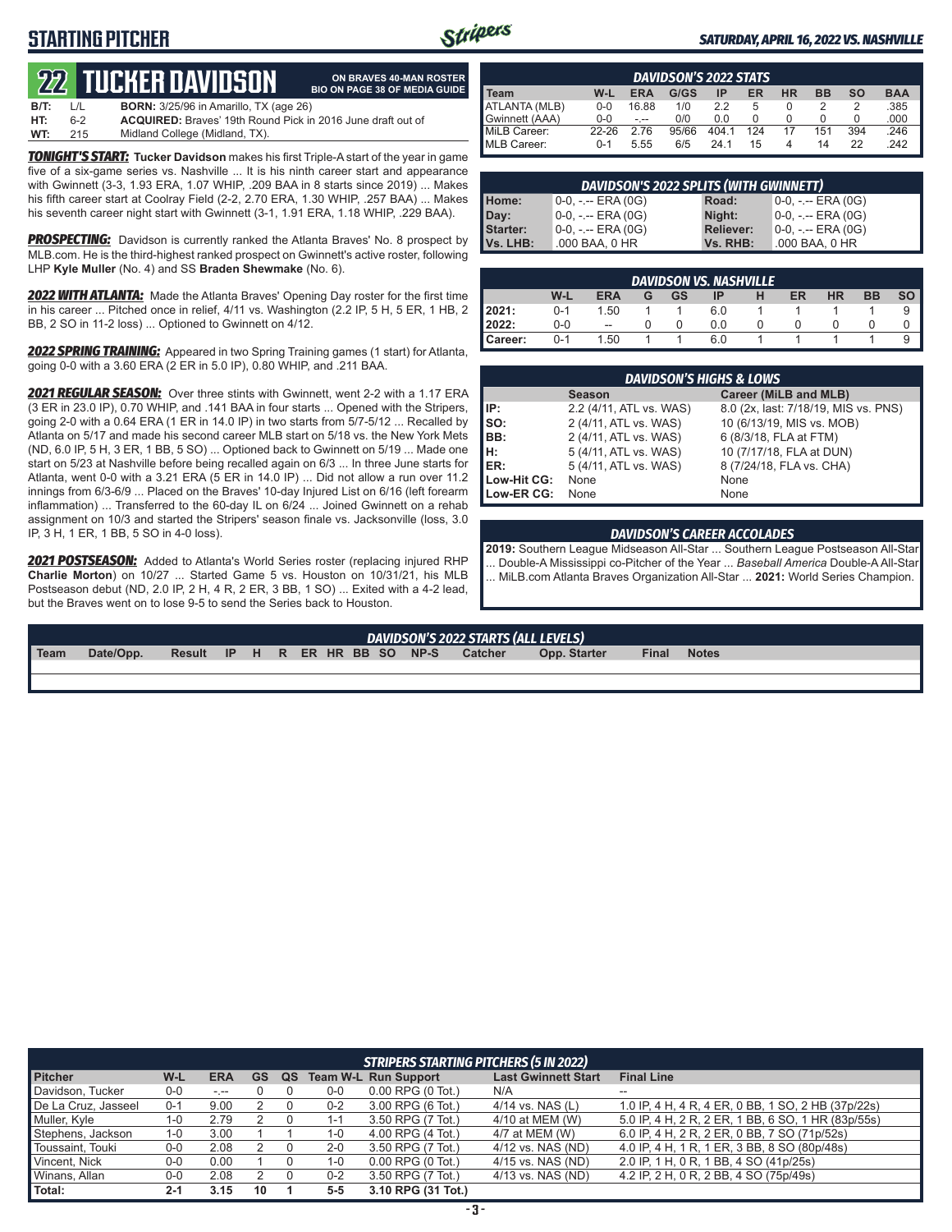# **STARTING PITCHER**



**ON BRAVES 40-MAN ROSTER**

#### *SATURDAY, APRIL 16, 2022 VS. NASHVILLE*

# **22****TUCKER DAVIDSON**

|      |         | <u>744 TUGHLILUAVIDJUN</u>                                         | <b>BIO ON PAGE 38 OF MEDIA GUIDE</b> |
|------|---------|--------------------------------------------------------------------|--------------------------------------|
| B/T: | $\perp$ | <b>BORN:</b> 3/25/96 in Amarillo. TX (age 26)                      |                                      |
| HT:  | 6-2     | <b>ACQUIRED:</b> Braves' 19th Round Pick in 2016 June draft out of |                                      |
| WT:  | 215     | Midland College (Midland, TX).                                     |                                      |

*TONIGHT'S START:* **Tucker Davidson** makes his first Triple-A start of the year in game five of a six-game series vs. Nashville ... It is his ninth career start and appearance with Gwinnett (3-3, 1.93 ERA, 1.07 WHIP, .209 BAA in 8 starts since 2019) ... Makes his fifth career start at Coolray Field (2-2, 2.70 ERA, 1.30 WHIP, .257 BAA) ... Makes his seventh career night start with Gwinnett (3-1, 1.91 ERA, 1.18 WHIP, .229 BAA).

**PROSPECTING:** Davidson is currently ranked the Atlanta Braves' No. 8 prospect by MLB.com. He is the third-highest ranked prospect on Gwinnett's active roster, following LHP **Kyle Muller** (No. 4) and SS **Braden Shewmake** (No. 6).

*2022 WITH ATLANTA:* Made the Atlanta Braves' Opening Day roster for the first time in his career ... Pitched once in relief, 4/11 vs. Washington (2.2 IP, 5 H, 5 ER, 1 HB, 2 BB, 2 SO in 11-2 loss) ... Optioned to Gwinnett on 4/12.

*2022 SPRING TRAINING:* Appeared in two Spring Training games (1 start) for Atlanta, going 0-0 with a 3.60 ERA (2 ER in 5.0 IP), 0.80 WHIP, and .211 BAA.

*2021 REGULAR SEASON:* Over three stints with Gwinnett, went 2-2 with a 1.17 ERA (3 ER in 23.0 IP), 0.70 WHIP, and .141 BAA in four starts ... Opened with the Stripers, going 2-0 with a 0.64 ERA (1 ER in 14.0 IP) in two starts from 5/7-5/12 ... Recalled by Atlanta on 5/17 and made his second career MLB start on 5/18 vs. the New York Mets (ND, 6.0 IP, 5 H, 3 ER, 1 BB, 5 SO) ... Optioned back to Gwinnett on 5/19 ... Made one start on 5/23 at Nashville before being recalled again on 6/3 ... In three June starts for Atlanta, went 0-0 with a 3.21 ERA (5 ER in 14.0 IP) ... Did not allow a run over 11.2 innings from 6/3-6/9 ... Placed on the Braves' 10-day Injured List on 6/16 (left forearm inflammation) ... Transferred to the 60-day IL on 6/24 ... Joined Gwinnett on a rehab assignment on 10/3 and started the Stripers' season finale vs. Jacksonville (loss, 3.0 IP, 3 H, 1 ER, 1 BB, 5 SO in 4-0 loss).

*2021 POSTSEASON:* Added to Atlanta's World Series roster (replacing injured RHP **Charlie Morton**) on 10/27 ... Started Game 5 vs. Houston on 10/31/21, his MLB Postseason debut (ND, 2.0 IP, 2 H, 4 R, 2 ER, 3 BB, 1 SO) ... Exited with a 4-2 lead, but the Braves went on to lose 9-5 to send the Series back to Houston.

| <b>DAVIDSON'S 2022 STATS</b> |           |            |       |       |     |           |           |           |            |
|------------------------------|-----------|------------|-------|-------|-----|-----------|-----------|-----------|------------|
| Team                         | W-L       | <b>ERA</b> | G/GS  | IP    | ER  | <b>HR</b> | <b>BB</b> | <b>SO</b> | <b>BAA</b> |
| ATLANTA (MLB)                | $0 - 0$   | 16.88      | 1/0   | 2.2   | 5   | $\Omega$  |           |           | .385       |
| Gwinnett (AAA)               | $0 - 0$   | $- - -$    | 0/0   | 0.0   |     |           |           |           | .000       |
| MiLB Career:                 | $22 - 26$ | 2.76       | 95/66 | 404.1 | 124 | 17        | 151       | 394       | .246       |
| MLB Career:                  | $0 - 1$   | 5.55       | 6/5   | 24 1  | 15  | 4         | 14        | 22        | 242        |

| DAVIDSON'S 2022 SPLITS (WITH GWINNETT) |                       |                  |                     |  |  |  |
|----------------------------------------|-----------------------|------------------|---------------------|--|--|--|
| Home:                                  | $0-0, - -$ ERA $(0G)$ | Road:            | $0-0, - -$ ERA (0G) |  |  |  |
| Day:                                   | $0-0, - -$ ERA $(0G)$ | Night:           | $0-0, - -$ ERA (0G) |  |  |  |
| Starter:                               | $0-0, - -$ ERA $(0G)$ | <b>Reliever:</b> | $0-0, - -$ ERA (0G) |  |  |  |
| Vs. LHB:                               | .000 BAA, 0 HR        | Vs. RHB:         | .000 BAA, 0 HR      |  |  |  |

|         |         |            |   |    | <b>DAVIDSON VS. NASHVILLE</b> |    |           |           |  |
|---------|---------|------------|---|----|-------------------------------|----|-----------|-----------|--|
|         | W-L     | <b>ERA</b> | G | GS | IP                            | ER | <b>HR</b> | <b>BB</b> |  |
| 2021:   | $0 - 1$ | 1.50       |   |    | 6.0                           |    |           |           |  |
| 2022:   | 0-0     | --         |   |    | 0.0                           |    |           |           |  |
| Career: | በ-1     | 1.50       |   |    | 6.0                           |    |           |           |  |

|             | <b>DAVIDSON'S HIGHS &amp; LOWS</b> |                                      |
|-------------|------------------------------------|--------------------------------------|
|             | <b>Season</b>                      | Career (MiLB and MLB)                |
| IP:         | 2.2 (4/11, ATL vs. WAS)            | 8.0 (2x, last: 7/18/19, MIS vs. PNS) |
| $\vert$ so: | 2 (4/11, ATL vs. WAS)              | 10 (6/13/19, MIS vs. MOB)            |
| BB:         | 2 (4/11, ATL vs. WAS)              | 6 (8/3/18, FLA at FTM)               |
| Iн:         | 5 (4/11, ATL vs. WAS)              | 10 (7/17/18, FLA at DUN)             |
| <b>IER:</b> | 5 (4/11, ATL vs. WAS)              | 8 (7/24/18, FLA vs. CHA)             |
| Low-Hit CG: | None                               | None                                 |
| Low-ER CG:  | None                               | None                                 |

#### *DAVIDSON'S CAREER ACCOLADES*

**2019:** Southern League Midseason All-Star ... Southern League Postseason All-Star ... Double-A Mississippi co-Pitcher of the Year ... *Baseball America* Double-A All-Star ... MiLB.com Atlanta Braves Organization All-Star ... **2021:** World Series Champion.

|      | DAVIDSON'S 2022 STARTS (ALL LEVELS) |        |     |  |  |  |  |  |                      |                |              |       |              |  |
|------|-------------------------------------|--------|-----|--|--|--|--|--|----------------------|----------------|--------------|-------|--------------|--|
| Team | Date/Opp.                           | Result | IP. |  |  |  |  |  | H R ER HR BB SO NP-S | <b>Catcher</b> | Opp. Starter | Final | <b>Notes</b> |  |
|      |                                     |        |     |  |  |  |  |  |                      |                |              |       |              |  |

|                     | STRIPERS STARTING PITCHERS (5 IN 2022) |            |    |    |         |                               |                            |                                                    |  |
|---------------------|----------------------------------------|------------|----|----|---------|-------------------------------|----------------------------|----------------------------------------------------|--|
| <b>Pitcher</b>      | W-L                                    | <b>ERA</b> | GS | QS |         | <b>Team W-L Run Support</b>   | <b>Last Gwinnett Start</b> | <b>Final Line</b>                                  |  |
| Davidson, Tucker    | $0-0$                                  | $-1 - 1$   |    |    | $0-0$   | $0.00$ RPG $(0 \text{ Tot.})$ | N/A                        | $- -$                                              |  |
| De La Cruz, Jasseel | $0 - 1$                                | 9.00       |    |    | $0 - 2$ | 3.00 RPG (6 Tot.)             | $4/14$ vs. NAS (L)         | 1.0 IP, 4 H, 4 R, 4 ER, 0 BB, 1 SO, 2 HB (37p/22s) |  |
| Muller, Kyle        | $1 - 0$                                | 2.79       |    |    | $1 - 1$ | 3.50 RPG (7 Tot.)             | 4/10 at MEM (W)            | 5.0 IP, 4 H, 2 R, 2 ER, 1 BB, 6 SO, 1 HR (83p/55s) |  |
| Stephens, Jackson   | $1 - 0$                                | 3.00       |    |    | 1-0     | 4.00 RPG (4 Tot.)             | 4/7 at MEM (W)             | 6.0 IP, 4 H, 2 R, 2 ER, 0 BB, 7 SO (71p/52s)       |  |
| Toussaint, Touki    | $0-0$                                  | 2.08       |    |    | $2 - 0$ | 3.50 RPG (7 Tot.)             | 4/12 vs. NAS (ND)          | 4.0 IP, 4 H, 1 R, 1 ER, 3 BB, 8 SO (80p/48s)       |  |
| Vincent, Nick       | $0-0$                                  | 0.00       |    |    | 1-0     | $0.00$ RPG $(0$ Tot.)         | 4/15 vs. NAS (ND)          | 2.0 IP, 1 H, 0 R, 1 BB, 4 SO (41p/25s)             |  |
| Winans, Allan       | $0-0$                                  | 2.08       |    |    | $0 - 2$ | 3.50 RPG (7 Tot.)             | 4/13 vs. NAS (ND)          | 4.2 IP, 2 H, 0 R, 2 BB, 4 SO (75p/49s)             |  |
| Total:              | $2 - 1$                                | 3.15       | 10 |    | $5 - 5$ | 3.10 RPG (31 Tot.)            |                            |                                                    |  |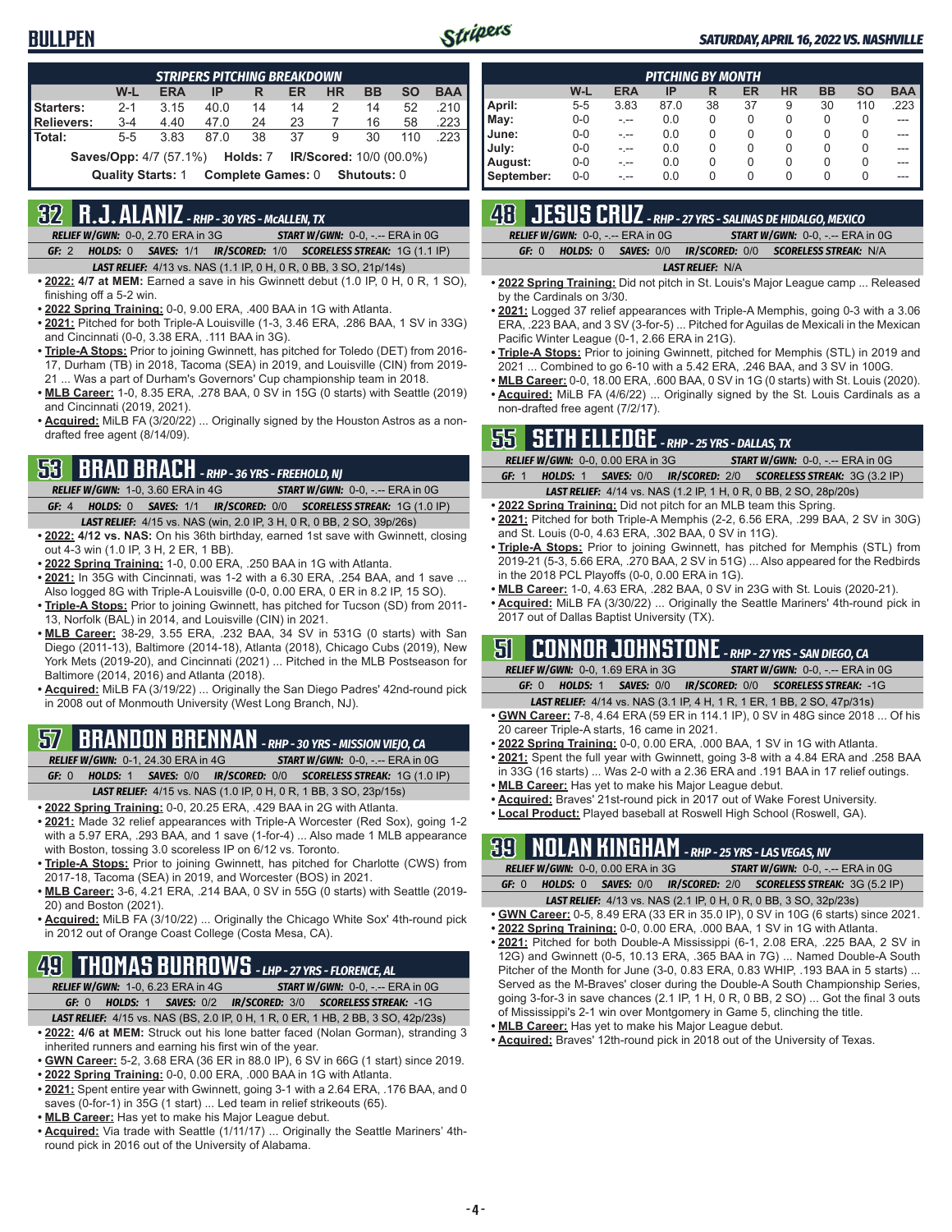### **BULLPEN**



Ī

#### *SATURDAY, APRIL 16, 2022 VS. NASHVILLE*

|                                                                                 |                          |            | <b>STRIPERS PITCHING BREAKDOWN</b> |                          |    |           |                    |           |            |
|---------------------------------------------------------------------------------|--------------------------|------------|------------------------------------|--------------------------|----|-----------|--------------------|-----------|------------|
|                                                                                 | W-L                      | <b>ERA</b> | IP                                 | R                        | ER | <b>HR</b> | <b>BB</b>          | <b>SO</b> | <b>BAA</b> |
| <b>Starters:</b>                                                                | $2 - 1$                  | 3.15       | 40.0                               | 14                       | 14 | 2         | 14                 | 52        | .210       |
| <b>Relievers:</b>                                                               | $3 - 4$                  | 4.40       | 47.0                               | 24                       | 23 |           | 16                 | 58        | .223       |
| Total:                                                                          | $5 - 5$                  | 3.83       | 870                                | 38                       | 37 | 9         | 30                 | 110       | .223       |
| <b>Saves/Opp:</b> 4/7 (57.1%) <b>Holds:</b> 7<br><b>IR/Scored: 10/0 (00.0%)</b> |                          |            |                                    |                          |    |           |                    |           |            |
|                                                                                 | <b>Quality Starts: 1</b> |            |                                    | <b>Complete Games: 0</b> |    |           | <b>Shutouts: 0</b> |           |            |

## **32 R.J. ALANIZ** *- RHP - 30 YRS - McALLEN, TX*

*RELIEF W/GWN:*0-0, 2.70 ERA in 3G *START W/GWN:*0-0, -.-- ERA in 0G *GF:*2 *HOLDS:*0 *SAVES:*1/1 *IR/SCORED:*1/0 *SCORELESS STREAK:*1G (1.1 IP)

- *LAST RELIEF:*4/13 vs. NAS (1.1 IP, 0 H, 0 R, 0 BB, 3 SO, 21p/14s)
- **• 2022: 4/7 at MEM:** Earned a save in his Gwinnett debut (1.0 IP, 0 H, 0 R, 1 SO), finishing off a 5-2 win.
- **• 2022 Spring Training:** 0-0, 9.00 ERA, .400 BAA in 1G with Atlanta.
- **• 2021:** Pitched for both Triple-A Louisville (1-3, 3.46 ERA, .286 BAA, 1 SV in 33G) and Cincinnati (0-0, 3.38 ERA, .111 BAA in 3G).
- **• Triple-A Stops:** Prior to joining Gwinnett, has pitched for Toledo (DET) from 2016- 17, Durham (TB) in 2018, Tacoma (SEA) in 2019, and Louisville (CIN) from 2019- 21 ... Was a part of Durham's Governors' Cup championship team in 2018.
- **• MLB Career:** 1-0, 8.35 ERA, .278 BAA, 0 SV in 15G (0 starts) with Seattle (2019) and Cincinnati (2019, 2021).
- **• Acquired:** MiLB FA (3/20/22) ... Originally signed by the Houston Astros as a nondrafted free agent (8/14/09).

### **53 BRAD BRACH** *- RHP - 36 YRS - FREEHOLD, NJ*

*RELIEF W/GWN:*1-0, 3.60 ERA in 4G *START W/GWN:*0-0, -.-- ERA in 0G *GF:*4 *HOLDS:*0 *SAVES:*1/1 *IR/SCORED:*0/0 *SCORELESS STREAK:*1G (1.0 IP) *LAST RELIEF:*4/15 vs. NAS (win, 2.0 IP, 3 H, 0 R, 0 BB, 2 SO, 39p/26s)

- **• 2022: 4/12 vs. NAS:** On his 36th birthday, earned 1st save with Gwinnett, closing out 4-3 win (1.0 IP, 3 H, 2 ER, 1 BB).
- **• 2022 Spring Training:** 1-0, 0.00 ERA, .250 BAA in 1G with Atlanta.
- **• 2021:** In 35G with Cincinnati, was 1-2 with a 6.30 ERA, .254 BAA, and 1 save ... Also logged 8G with Triple-A Louisville (0-0, 0.00 ERA, 0 ER in 8.2 IP, 15 SO).
- **• Triple-A Stops:** Prior to joining Gwinnett, has pitched for Tucson (SD) from 2011- 13, Norfolk (BAL) in 2014, and Louisville (CIN) in 2021.
- **• MLB Career:** 38-29, 3.55 ERA, .232 BAA, 34 SV in 531G (0 starts) with San Diego (2011-13), Baltimore (2014-18), Atlanta (2018), Chicago Cubs (2019), New York Mets (2019-20), and Cincinnati (2021) ... Pitched in the MLB Postseason for Baltimore (2014, 2016) and Atlanta (2018).
- **• Acquired:** MiLB FA (3/19/22) ... Originally the San Diego Padres' 42nd-round pick in 2008 out of Monmouth University (West Long Branch, NJ).

## **57 BRANDON BRENNAN** *- RHP - 30 YRS - MISSION VIEJO, CA*

*RELIEF W/GWN:*0-1, 24.30 ERA in 4G *START W/GWN:*0-0, -.-- ERA in 0G

*GF:*0 *HOLDS:*1 *SAVES:*0/0 *IR/SCORED:*0/0 *SCORELESS STREAK:*1G (1.0 IP) *LAST RELIEF:*4/15 vs. NAS (1.0 IP, 0 H, 0 R, 1 BB, 3 SO, 23p/15s)

- **• 2022 Spring Training:** 0-0, 20.25 ERA, .429 BAA in 2G with Atlanta.
- **• 2021:** Made 32 relief appearances with Triple-A Worcester (Red Sox), going 1-2 with a 5.97 ERA, .293 BAA, and 1 save (1-for-4) ... Also made 1 MLB appearance with Boston, tossing 3.0 scoreless IP on 6/12 vs. Toronto.
- **• Triple-A Stops:** Prior to joining Gwinnett, has pitched for Charlotte (CWS) from 2017-18, Tacoma (SEA) in 2019, and Worcester (BOS) in 2021.
- **• MLB Career:** 3-6, 4.21 ERA, .214 BAA, 0 SV in 55G (0 starts) with Seattle (2019- 20) and Boston (2021).
- **• Acquired:** MiLB FA (3/10/22) ... Originally the Chicago White Sox' 4th-round pick in 2012 out of Orange Coast College (Costa Mesa, CA).

# **49 THOMAS BURROWS** *- LHP - 27 YRS - FLORENCE, AL*

- *RELIEF W/GWN:*1-0, 6.23 ERA in 4G *START W/GWN:*0-0, -.-- ERA in 0G *GF:*0 *HOLDS:*1 *SAVES:*0/2 *IR/SCORED:*3/0 *SCORELESS STREAK:*-1G
- *LAST RELIEF:*4/15 vs. NAS (BS, 2.0 IP, 0 H, 1 R, 0 ER, 1 HB, 2 BB, 3 SO, 42p/23s) **• 2022: 4/6 at MEM:** Struck out his lone batter faced (Nolan Gorman), stranding 3
- inherited runners and earning his first win of the year. **• GWN Career:** 5-2, 3.68 ERA (36 ER in 88.0 IP), 6 SV in 66G (1 start) since 2019.
- **• 2022 Spring Training:** 0-0, 0.00 ERA, .000 BAA in 1G with Atlanta.
- **• 2021:** Spent entire year with Gwinnett, going 3-1 with a 2.64 ERA, .176 BAA, and 0 saves (0-for-1) in 35G (1 start) ... Led team in relief strikeouts (65).
- **• MLB Career:** Has yet to make his Major League debut.
- **• Acquired:** Via trade with Seattle (1/11/17) ... Originally the Seattle Mariners' 4thround pick in 2016 out of the University of Alabama.

|            |         |            | <b>PITCHING BY MONTH</b> |    |    |           |           |           |            |
|------------|---------|------------|--------------------------|----|----|-----------|-----------|-----------|------------|
|            | W-L     | <b>ERA</b> | IP                       | R  | ER | <b>HR</b> | <b>BB</b> | <b>SO</b> | <b>BAA</b> |
| April:     | $5 - 5$ | 3.83       | 87.0                     | 38 | 37 | 9         | 30        | 110       | .223       |
| May:       | $0 - 0$ | - --       | 0.0                      | 0  | 0  | 0         | 0         | 0         | ---        |
| June:      | $0 - 0$ | - --       | 0.0                      | 0  | 0  | 0         | 0         | 0         | ---        |
| July:      | $0 - 0$ | - --       | 0.0                      | 0  | 0  | 0         | 0         | 0         | ---        |
| August:    | $0 - 0$ | - --       | 0.0                      | 0  | 0  | 0         | 0         | 0         | ---        |
| September: | $0 - 0$ | - --       | 0.0                      | 0  | 0  | 0         | 0         | 0         | ---        |

# **48 JESUS CRUZ** *- RHP - 27 YRS - SALINAS DE HIDALGO, MEXICO*

|                       |  | <b>RELIEF W/GWN: 0-0, -.-- ERA in 0G</b> | <b>START W/GWN: <math>0-0</math>, -.-- ERA in <math>0G</math></b> |                                                                 |  |  |  |
|-----------------------|--|------------------------------------------|-------------------------------------------------------------------|-----------------------------------------------------------------|--|--|--|
| GE: 0                 |  |                                          |                                                                   | <b>HOLDS: 0 SAVES: 0/0 IR/SCORED: 0/0 SCORELESS STREAK: N/A</b> |  |  |  |
| $I$ ACT DELIFE, $N/A$ |  |                                          |                                                                   |                                                                 |  |  |  |

*LAST RELIEF:*N/A

- **• 2022 Spring Training:** Did not pitch in St. Louis's Major League camp ... Released by the Cardinals on 3/30.
- **• 2021:** Logged 37 relief appearances with Triple-A Memphis, going 0-3 with a 3.06 ERA, .223 BAA, and 3 SV (3-for-5) ... Pitched for Aguilas de Mexicali in the Mexican Pacific Winter League (0-1, 2.66 ERA in 21G).
- **• Triple-A Stops:** Prior to joining Gwinnett, pitched for Memphis (STL) in 2019 and 2021 ... Combined to go 6-10 with a 5.42 ERA, .246 BAA, and 3 SV in 100G.
- **• MLB Career:** 0-0, 18.00 ERA, .600 BAA, 0 SV in 1G (0 starts) with St. Louis (2020). **• Acquired:** MiLB FA (4/6/22) ... Originally signed by the St. Louis Cardinals as a non-drafted free agent (7/2/17).

### **55 SETH ELLEDGE** *- RHP - 25 YRS - DALLAS, TX*

| .                                        |  |                                                                          |
|------------------------------------------|--|--------------------------------------------------------------------------|
| <b>RELIEF W/GWN: 0-0, 0.00 ERA in 3G</b> |  | <b>START W/GWN: 0-0, -.-- ERA in 0G.</b>                                 |
| HOLDS: 1<br>GF: 1                        |  | <b>SAVES: 0/0 IR/SCORED: 2/0 SCORELESS STREAK: 3G (3.2 IP)</b>           |
|                                          |  | <b>LAST RELIEF:</b> 4/14 vs. NAS (1.2 IP, 1 H, 0 R, 0 BB, 2 SO, 28p/20s) |

- **• 2022 Spring Training:** Did not pitch for an MLB team this Spring.
- **• 2021:** Pitched for both Triple-A Memphis (2-2, 6.56 ERA, .299 BAA, 2 SV in 30G) and St. Louis (0-0, 4.63 ERA, .302 BAA, 0 SV in 11G).
- **• Triple-A Stops:** Prior to joining Gwinnett, has pitched for Memphis (STL) from 2019-21 (5-3, 5.66 ERA, .270 BAA, 2 SV in 51G) ... Also appeared for the Redbirds in the 2018 PCL Playoffs (0-0, 0.00 ERA in 1G).
- **• MLB Career:** 1-0, 4.63 ERA, .282 BAA, 0 SV in 23G with St. Louis (2020-21).
- **• Acquired:** MiLB FA (3/30/22) ... Originally the Seattle Mariners' 4th-round pick in 2017 out of Dallas Baptist University (TX).

### **51 CONNOR JOHNSTONE** *- RHP - 27 YRS - SAN DIEGO, CA*

| <b>RELIEF W/GWN: 0-0, 1.69 ERA in 3G</b> | <b>START W/GWN: 0-0, -.-- ERA in 0G</b>                         |
|------------------------------------------|-----------------------------------------------------------------|
| GE: 0                                    | <b>HOLDS: 1 SAVES: 0/0 IR/SCORED: 0/0 SCORELESS STREAK: -1G</b> |

- *LAST RELIEF:*4/14 vs. NAS (3.1 IP, 4 H, 1 R, 1 ER, 1 BB, 2 SO, 47p/31s) **• GWN Career:** 7-8, 4.64 ERA (59 ER in 114.1 IP), 0 SV in 48G since 2018 ... Of his 20 career Triple-A starts, 16 came in 2021.
- **• 2022 Spring Training:** 0-0, 0.00 ERA, .000 BAA, 1 SV in 1G with Atlanta.
- **• 2021:** Spent the full year with Gwinnett, going 3-8 with a 4.84 ERA and .258 BAA in 33G (16 starts) ... Was 2-0 with a 2.36 ERA and .191 BAA in 17 relief outings.
- **• MLB Career:** Has yet to make his Major League debut.
- **• Acquired:** Braves' 21st-round pick in 2017 out of Wake Forest University.
- **• Local Product:** Played baseball at Roswell High School (Roswell, GA).

# **39 NOLAN KINGHAM** *- RHP - 25 YRS - LAS VEGAS, NV*

*RELIEF W/GWN:*0-0, 0.00 ERA in 3G *START W/GWN:*0-0, -.-- ERA in 0G *GF:*0 *HOLDS:*0 *SAVES:*0/0 *IR/SCORED:*2/0 *SCORELESS STREAK:*3G (5.2 IP)

- *LAST RELIEF:*4/13 vs. NAS (2.1 IP, 0 H, 0 R, 0 BB, 3 SO, 32p/23s) **• GWN Career:** 0-5, 8.49 ERA (33 ER in 35.0 IP), 0 SV in 10G (6 starts) since 2021.
- **• 2022 Spring Training:** 0-0, 0.00 ERA, .000 BAA, 1 SV in 1G with Atlanta.
- **• 2021:** Pitched for both Double-A Mississippi (6-1, 2.08 ERA, .225 BAA, 2 SV in 12G) and Gwinnett (0-5, 10.13 ERA, .365 BAA in 7G) ... Named Double-A South Pitcher of the Month for June (3-0, 0.83 ERA, 0.83 WHIP, .193 BAA in 5 starts) ... Served as the M-Braves' closer during the Double-A South Championship Series, going 3-for-3 in save chances (2.1 IP, 1 H, 0 R, 0 BB, 2 SO) ... Got the final 3 outs of Mississippi's 2-1 win over Montgomery in Game 5, clinching the title.
- **• MLB Career:** Has yet to make his Major League debut.
- **• Acquired:** Braves' 12th-round pick in 2018 out of the University of Texas.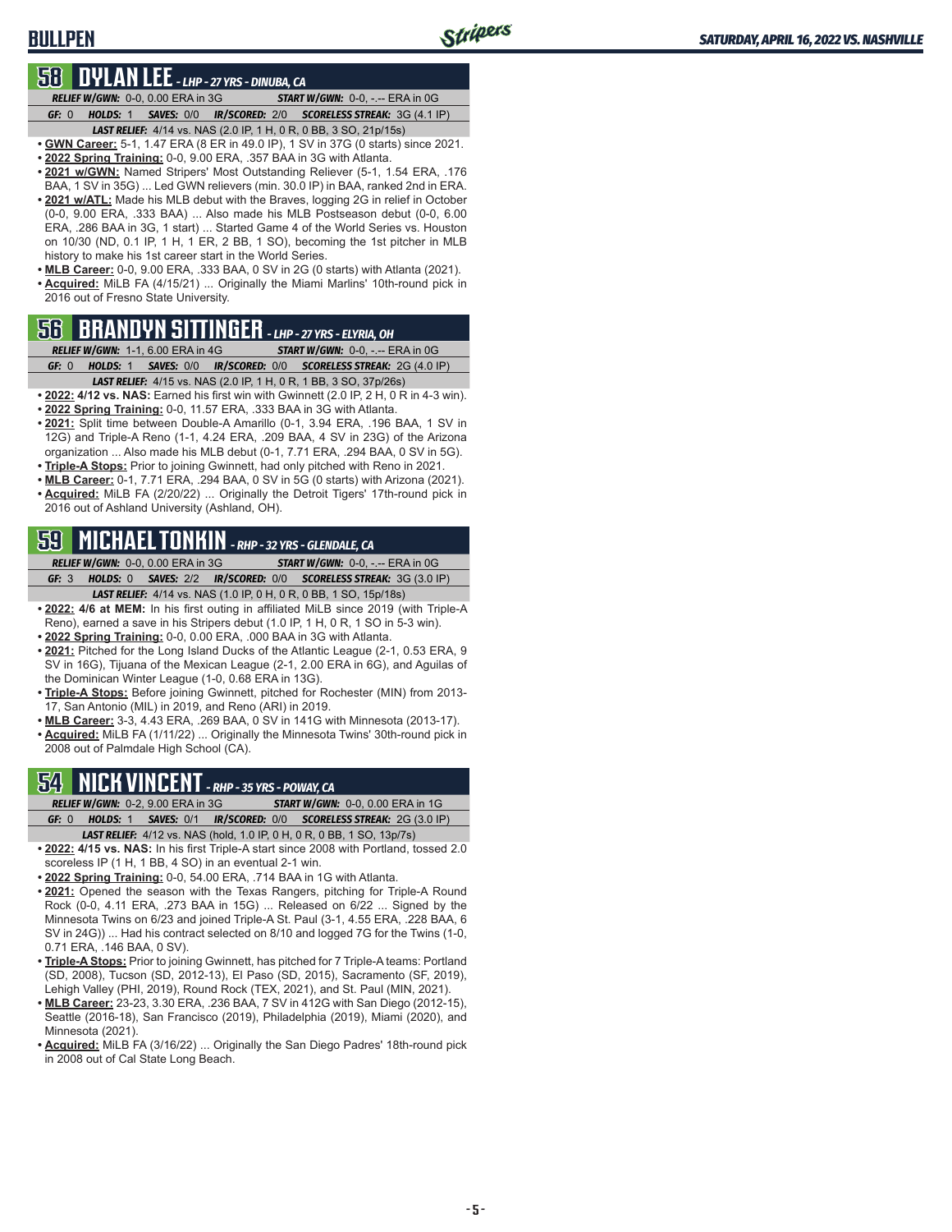### **BULLPEN**

### **58 DYLAN LEE** *- LHP - 27 YRS - DINUBA, CA*

*RELIEF W/GWN:*0-0, 0.00 ERA in 3G *START W/GWN:*0-0, -.-- ERA in 0G *GF:*0 *HOLDS:*1 *SAVES:*0/0 *IR/SCORED:*2/0 *SCORELESS STREAK:*3G (4.1 IP)

- *LAST RELIEF:*4/14 vs. NAS (2.0 IP, 1 H, 0 R, 0 BB, 3 SO, 21p/15s)
- **• GWN Career:** 5-1, 1.47 ERA (8 ER in 49.0 IP), 1 SV in 37G (0 starts) since 2021.
- **• 2022 Spring Training:** 0-0, 9.00 ERA, .357 BAA in 3G with Atlanta.
- **• 2021 w/GWN:** Named Stripers' Most Outstanding Reliever (5-1, 1.54 ERA, .176 BAA, 1 SV in 35G) ... Led GWN relievers (min. 30.0 IP) in BAA, ranked 2nd in ERA. **• 2021 w/ATL:** Made his MLB debut with the Braves, logging 2G in relief in October (0-0, 9.00 ERA, .333 BAA) ... Also made his MLB Postseason debut (0-0, 6.00 ERA, .286 BAA in 3G, 1 start) ... Started Game 4 of the World Series vs. Houston on 10/30 (ND, 0.1 IP, 1 H, 1 ER, 2 BB, 1 SO), becoming the 1st pitcher in MLB history to make his 1st career start in the World Series.
- **• MLB Career:** 0-0, 9.00 ERA, .333 BAA, 0 SV in 2G (0 starts) with Atlanta (2021). **• Acquired:** MiLB FA (4/15/21) ... Originally the Miami Marlins' 10th-round pick in

2016 out of Fresno State University.

# **56 BRANDYN SITTINGER** *- LHP - 27 YRS - ELYRIA, OH*

*RELIEF W/GWN:*1-1, 6.00 ERA in 4G *START W/GWN:*0-0, -.-- ERA in 0G *GF:*0 *HOLDS:*1 *SAVES:*0/0 *IR/SCORED:*0/0 *SCORELESS STREAK:*2G (4.0 IP)

- *LAST RELIEF:*4/15 vs. NAS (2.0 IP, 1 H, 0 R, 1 BB, 3 SO, 37p/26s)
- **• 2022: 4/12 vs. NAS:** Earned his first win with Gwinnett (2.0 IP, 2 H, 0 R in 4-3 win). **• 2022 Spring Training:** 0-0, 11.57 ERA, .333 BAA in 3G with Atlanta.
- 2021: Split time between Double-A Amarillo (0-1, 3.94 ERA, .196 BAA, 1 SV in 12G) and Triple-A Reno (1-1, 4.24 ERA, .209 BAA, 4 SV in 23G) of the Arizona organization ... Also made his MLB debut (0-1, 7.71 ERA, .294 BAA, 0 SV in 5G).
- **• Triple-A Stops:** Prior to joining Gwinnett, had only pitched with Reno in 2021. **• MLB Career:** 0-1, 7.71 ERA, .294 BAA, 0 SV in 5G (0 starts) with Arizona (2021).
- **• Acquired:** MiLB FA (2/20/22) ... Originally the Detroit Tigers' 17th-round pick in 2016 out of Ashland University (Ashland, OH).

# **59 MICHAEL TONKIN** *- RHP - 32 YRS - GLENDALE, CA*

*RELIEF W/GWN:*0-0, 0.00 ERA in 3G *START W/GWN:*0-0, -.-- ERA in 0G *GF:*3 *HOLDS:*0 *SAVES:*2/2 *IR/SCORED:*0/0 *SCORELESS STREAK:*3G (3.0 IP)

*LAST RELIEF:*4/14 vs. NAS (1.0 IP, 0 H, 0 R, 0 BB, 1 SO, 15p/18s)

**• 2022: 4/6 at MEM:** In his first outing in affiliated MiLB since 2019 (with Triple-A Reno), earned a save in his Stripers debut (1.0 IP, 1 H, 0 R, 1 SO in 5-3 win).

- **• 2022 Spring Training:** 0-0, 0.00 ERA, .000 BAA in 3G with Atlanta.
- **• 2021:** Pitched for the Long Island Ducks of the Atlantic League (2-1, 0.53 ERA, 9 SV in 16G), Tijuana of the Mexican League (2-1, 2.00 ERA in 6G), and Aguilas of the Dominican Winter League (1-0, 0.68 ERA in 13G).
- **• Triple-A Stops:** Before joining Gwinnett, pitched for Rochester (MIN) from 2013- 17, San Antonio (MIL) in 2019, and Reno (ARI) in 2019.
- **• MLB Career:** 3-3, 4.43 ERA, .269 BAA, 0 SV in 141G with Minnesota (2013-17).
- **• Acquired:** MiLB FA (1/11/22) ... Originally the Minnesota Twins' 30th-round pick in 2008 out of Palmdale High School (CA).

# **54 NICK VINCENT** *- RHP - 35 YRS - POWAY, CA*

*RELIEF W/GWN:*0-2, 9.00 ERA in 3G *START W/GWN:*0-0, 0.00 ERA in 1G

- *GF:*0 *HOLDS:*1 *SAVES:*0/1 *IR/SCORED:*0/0 *SCORELESS STREAK:*2G (3.0 IP) *LAST RELIEF:*4/12 vs. NAS (hold, 1.0 IP, 0 H, 0 R, 0 BB, 1 SO, 13p/7s)
- **• 2022: 4/15 vs. NAS:** In his first Triple-A start since 2008 with Portland, tossed 2.0 scoreless IP (1 H, 1 BB, 4 SO) in an eventual 2-1 win.
- **• 2022 Spring Training:** 0-0, 54.00 ERA, .714 BAA in 1G with Atlanta.
- **• 2021:** Opened the season with the Texas Rangers, pitching for Triple-A Round Rock (0-0, 4.11 ERA, .273 BAA in 15G) ... Released on 6/22 ... Signed by the Minnesota Twins on 6/23 and joined Triple-A St. Paul (3-1, 4.55 ERA, .228 BAA, 6 SV in 24G)) ... Had his contract selected on 8/10 and logged 7G for the Twins (1-0, 0.71 ERA, .146 BAA, 0 SV).
- **• Triple-A Stops:** Prior to joining Gwinnett, has pitched for 7 Triple-A teams: Portland (SD, 2008), Tucson (SD, 2012-13), El Paso (SD, 2015), Sacramento (SF, 2019), Lehigh Valley (PHI, 2019), Round Rock (TEX, 2021), and St. Paul (MIN, 2021).
- **• MLB Career:** 23-23, 3.30 ERA, .236 BAA, 7 SV in 412G with San Diego (2012-15), Seattle (2016-18), San Francisco (2019), Philadelphia (2019), Miami (2020), and Minnesota (2021).
- **• Acquired:** MiLB FA (3/16/22) ... Originally the San Diego Padres' 18th-round pick in 2008 out of Cal State Long Beach.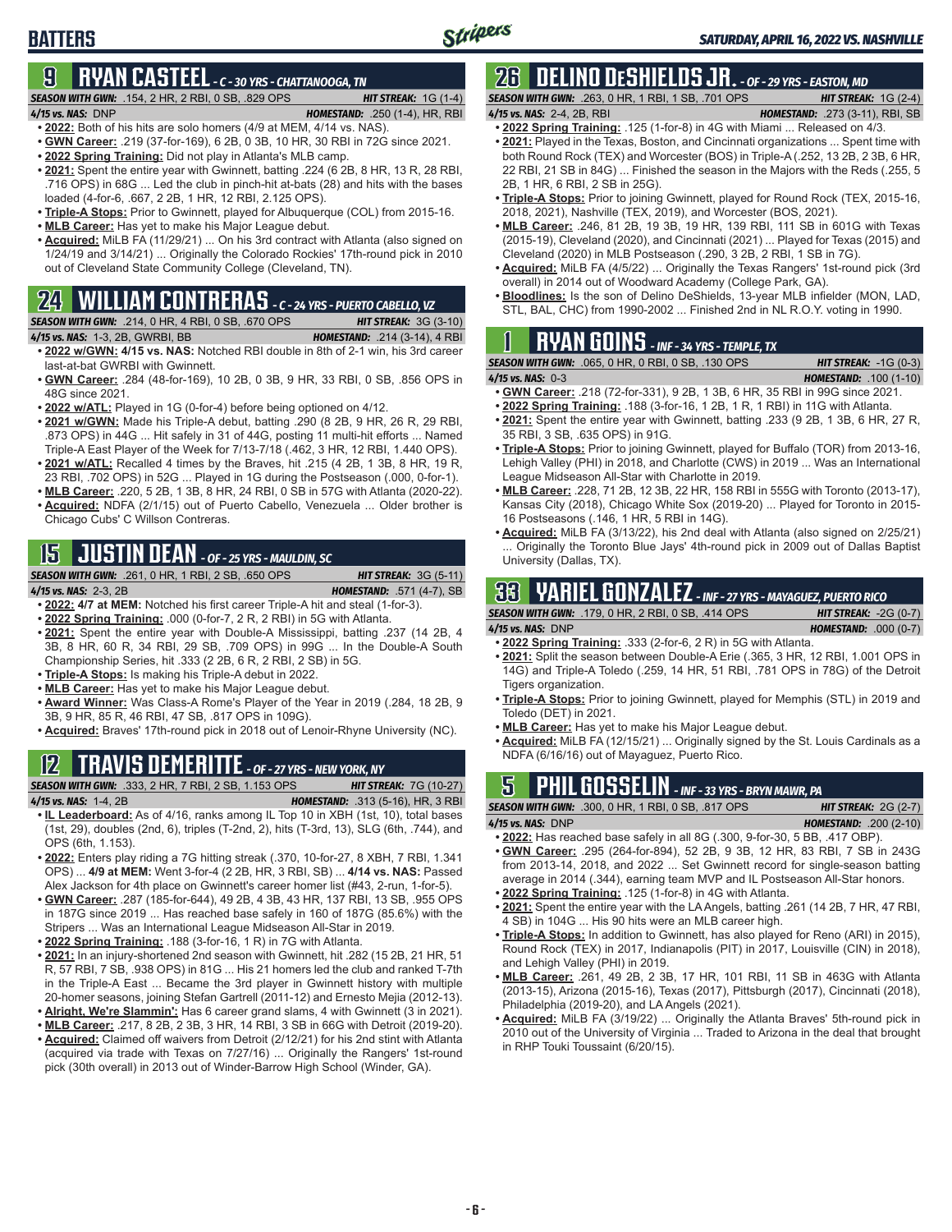# **9 RYAN CASTEEL** *- C - 30 YRS - CHATTANOOGA, TN*

#### *SEASON WITH GWN:*.154, 2 HR, 2 RBI, 0 SB, .829 OPS *HIT STREAK:* 1G (1-4)

**BATTERS**

- *4/15 vs. NAS:*DNP *HOMESTAND:* .250 (1-4), HR, RBI **• 2022:** Both of his hits are solo homers (4/9 at MEM, 4/14 vs. NAS).
- **• GWN Career:** .219 (37-for-169), 6 2B, 0 3B, 10 HR, 30 RBI in 72G since 2021.
- 
- **• 2022 Spring Training:** Did not play in Atlanta's MLB camp.
- **• 2021:** Spent the entire year with Gwinnett, batting .224 (6 2B, 8 HR, 13 R, 28 RBI, .716 OPS) in 68G ... Led the club in pinch-hit at-bats (28) and hits with the bases loaded (4-for-6, .667, 2 2B, 1 HR, 12 RBI, 2.125 OPS).
- **• Triple-A Stops:** Prior to Gwinnett, played for Albuquerque (COL) from 2015-16.
- **• MLB Career:** Has yet to make his Major League debut.
- **• Acquired:** MiLB FA (11/29/21) ... On his 3rd contract with Atlanta (also signed on 1/24/19 and 3/14/21) ... Originally the Colorado Rockies' 17th-round pick in 2010 out of Cleveland State Community College (Cleveland, TN).

# **24 WILLIAM CONTRERAS** *- C - 24 YRS - PUERTO CABELLO, VZ*

*SEASON WITH GWN:*.214, 0 HR, 4 RBI, 0 SB, .670 OPS *HIT STREAK:* 3G (3-10)

- *4/15 vs. NAS:*1-3, 2B, GWRBI, BB *HOMESTAND:* .214 (3-14), 4 RBI **• 2022 w/GWN: 4/15 vs. NAS:** Notched RBI double in 8th of 2-1 win, his 3rd career last-at-bat GWRBI with Gwinnett.
- **• GWN Career:** .284 (48-for-169), 10 2B, 0 3B, 9 HR, 33 RBI, 0 SB, .856 OPS in 48G since 2021.
- **• 2022 w/ATL:** Played in 1G (0-for-4) before being optioned on 4/12.
- **• 2021 w/GWN:** Made his Triple-A debut, batting .290 (8 2B, 9 HR, 26 R, 29 RBI, .873 OPS) in 44G ... Hit safely in 31 of 44G, posting 11 multi-hit efforts ... Named Triple-A East Player of the Week for 7/13-7/18 (.462, 3 HR, 12 RBI, 1.440 OPS). **• 2021 w/ATL:** Recalled 4 times by the Braves, hit .215 (4 2B, 1 3B, 8 HR, 19 R,
- 23 RBI, .702 OPS) in 52G ... Played in 1G during the Postseason (.000, 0-for-1). **• MLB Career:** .220, 5 2B, 1 3B, 8 HR, 24 RBI, 0 SB in 57G with Atlanta (2020-22).
- **• Acquired:** NDFA (2/1/15) out of Puerto Cabello, Venezuela ... Older brother is Chicago Cubs' C Willson Contreras.

# **15 JUSTIN DEAN** *- OF - 25 YRS - MAULDIN, SC*

*SEASON WITH GWN:*.261, 0 HR, 1 RBI, 2 SB, .650 OPS *HIT STREAK:* 3G (5-11) *4/15 vs. NAS:*2-3, 2B *HOMESTAND:* .571 (4-7), SB

**• 2022: 4/7 at MEM:** Notched his first career Triple-A hit and steal (1-for-3).

- **• 2022 Spring Training:** .000 (0-for-7, 2 R, 2 RBI) in 5G with Atlanta.
- **• 2021:** Spent the entire year with Double-A Mississippi, batting .237 (14 2B, 4 3B, 8 HR, 60 R, 34 RBI, 29 SB, .709 OPS) in 99G ... In the Double-A South Championship Series, hit .333 (2 2B, 6 R, 2 RBI, 2 SB) in 5G.
- **• Triple-A Stops:** Is making his Triple-A debut in 2022.
- **• MLB Career:** Has yet to make his Major League debut.
- **• Award Winner:** Was Class-A Rome's Player of the Year in 2019 (.284, 18 2B, 9 3B, 9 HR, 85 R, 46 RBI, 47 SB, .817 OPS in 109G).
- **• Acquired:** Braves' 17th-round pick in 2018 out of Lenoir-Rhyne University (NC).

# **12 TRAVIS DEMERITTE** *- OF - 27 YRS - NEW YORK, NY*

*SEASON WITH GWN:*.333, 2 HR, 7 RBI, 2 SB, 1.153 OPS *HIT STREAK:* 7G (10-27) *4/15 vs. NAS:*1-4, 2B *HOMESTAND:* .313 (5-16), HR, 3 RBI

- **• IL Leaderboard:** As of 4/16, ranks among IL Top 10 in XBH (1st, 10), total bases (1st, 29), doubles (2nd, 6), triples (T-2nd, 2), hits (T-3rd, 13), SLG (6th, .744), and OPS (6th, 1.153).
- **• 2022:** Enters play riding a 7G hitting streak (.370, 10-for-27, 8 XBH, 7 RBI, 1.341 OPS) ... **4/9 at MEM:** Went 3-for-4 (2 2B, HR, 3 RBI, SB) ... **4/14 vs. NAS:** Passed Alex Jackson for 4th place on Gwinnett's career homer list (#43, 2-run, 1-for-5).
- **• GWN Career:** .287 (185-for-644), 49 2B, 4 3B, 43 HR, 137 RBI, 13 SB, .955 OPS in 187G since 2019 ... Has reached base safely in 160 of 187G (85.6%) with the Stripers ... Was an International League Midseason All-Star in 2019.
- **• 2022 Spring Training:** .188 (3-for-16, 1 R) in 7G with Atlanta.
- **• 2021:** In an injury-shortened 2nd season with Gwinnett, hit .282 (15 2B, 21 HR, 51 R, 57 RBI, 7 SB, .938 OPS) in 81G ... His 21 homers led the club and ranked T-7th in the Triple-A East ... Became the 3rd player in Gwinnett history with multiple 20-homer seasons, joining Stefan Gartrell (2011-12) and Ernesto Mejia (2012-13).
- **• Alright, We're Slammin':** Has 6 career grand slams, 4 with Gwinnett (3 in 2021). **• MLB Career:** .217, 8 2B, 2 3B, 3 HR, 14 RBI, 3 SB in 66G with Detroit (2019-20).
- **• Acquired:** Claimed off waivers from Detroit (2/12/21) for his 2nd stint with Atlanta (acquired via trade with Texas on 7/27/16) ... Originally the Rangers' 1st-round pick (30th overall) in 2013 out of Winder-Barrow High School (Winder, GA).

# **26 DELINO DESHIELDS JR.** *- OF - 29 YRS - EASTON, MD*

*SEASON WITH GWN:*.263, 0 HR, 1 RBI, 1 SB, .701 OPS *HIT STREAK:* 1G (2-4) *4/15 vs. NAS:*2-4, 2B, RBI *HOMESTAND:* .273 (3-11), RBI, SB

- 
- **• 2022 Spring Training:** .125 (1-for-8) in 4G with Miami ... Released on 4/3. **• 2021:** Played in the Texas, Boston, and Cincinnati organizations ... Spent time with both Round Rock (TEX) and Worcester (BOS) in Triple-A (.252, 13 2B, 2 3B, 6 HR, 22 RBI, 21 SB in 84G) ... Finished the season in the Majors with the Reds (.255, 5 2B, 1 HR, 6 RBI, 2 SB in 25G).
- **• Triple-A Stops:** Prior to joining Gwinnett, played for Round Rock (TEX, 2015-16, 2018, 2021), Nashville (TEX, 2019), and Worcester (BOS, 2021).
- **• MLB Career:** .246, 81 2B, 19 3B, 19 HR, 139 RBI, 111 SB in 601G with Texas (2015-19), Cleveland (2020), and Cincinnati (2021) ... Played for Texas (2015) and Cleveland (2020) in MLB Postseason (.290, 3 2B, 2 RBI, 1 SB in 7G).
- **• Acquired:** MiLB FA (4/5/22) ... Originally the Texas Rangers' 1st-round pick (3rd overall) in 2014 out of Woodward Academy (College Park, GA).
- **• Bloodlines:** Is the son of Delino DeShields, 13-year MLB infielder (MON, LAD, STL, BAL, CHC) from 1990-2002 ... Finished 2nd in NL R.O.Y. voting in 1990.

# **1 RYAN GOINS** *- INF - 34 YRS - TEMPLE, TX*

*SEASON WITH GWN:*.065, 0 HR, 0 RBI, 0 SB, .130 OPS *HIT STREAK:* -1G (0-3) *4/15 vs. NAS:*0-3 *HOMESTAND:* .100 (1-10)

- 
- **• GWN Career:** .218 (72-for-331), 9 2B, 1 3B, 6 HR, 35 RBI in 99G since 2021.
- **• 2022 Spring Training:** .188 (3-for-16, 1 2B, 1 R, 1 RBI) in 11G with Atlanta.
- **• 2021:** Spent the entire year with Gwinnett, batting .233 (9 2B, 1 3B, 6 HR, 27 R, 35 RBI, 3 SB, .635 OPS) in 91G.
- **• Triple-A Stops:** Prior to joining Gwinnett, played for Buffalo (TOR) from 2013-16, Lehigh Valley (PHI) in 2018, and Charlotte (CWS) in 2019 ... Was an International League Midseason All-Star with Charlotte in 2019.
- **• MLB Career:** .228, 71 2B, 12 3B, 22 HR, 158 RBI in 555G with Toronto (2013-17), Kansas City (2018), Chicago White Sox (2019-20) ... Played for Toronto in 2015- 16 Postseasons (.146, 1 HR, 5 RBI in 14G).
- **• Acquired:** MiLB FA (3/13/22), his 2nd deal with Atlanta (also signed on 2/25/21) Originally the Toronto Blue Jays' 4th-round pick in 2009 out of Dallas Baptist University (Dallas, TX).

# **33 YARIEL GONZALEZ** *- INF - 27 YRS - MAYAGUEZ, PUERTO RICO*

*SEASON WITH GWN:*.179, 0 HR, 2 RBI, 0 SB, .414 OPS *HIT STREAK:* -2G (0-7) *4/15 vs. NAS:*DNP *HOMESTAND:* .000 (0-7)

- **• 2022 Spring Training:** .333 (2-for-6, 2 R) in 5G with Atlanta.
- **• 2021:** Split the season between Double-A Erie (.365, 3 HR, 12 RBI, 1.001 OPS in 14G) and Triple-A Toledo (.259, 14 HR, 51 RBI, .781 OPS in 78G) of the Detroit Tigers organization.
- **• Triple-A Stops:** Prior to joining Gwinnett, played for Memphis (STL) in 2019 and Toledo (DET) in 2021.
- **• MLB Career:** Has yet to make his Major League debut.
- **• Acquired:** MiLB FA (12/15/21) ... Originally signed by the St. Louis Cardinals as a NDFA (6/16/16) out of Mayaguez, Puerto Rico.

# **5 PHIL GOSSELIN** *- INF - 33 YRS - BRYN MAWR, PA*

*SEASON WITH GWN:*.300, 0 HR, 1 RBI, 0 SB, .817 OPS *HIT STREAK:* 2G (2-7) *4/15 vs. NAS:*DNP *HOMESTAND:* .200 (2-10)

- **• 2022:** Has reached base safely in all 8G (.300, 9-for-30, 5 BB, .417 OBP). **• GWN Career:** .295 (264-for-894), 52 2B, 9 3B, 12 HR, 83 RBI, 7 SB in 243G from 2013-14, 2018, and 2022 ... Set Gwinnett record for single-season batting average in 2014 (.344), earning team MVP and IL Postseason All-Star honors.
- **• 2022 Spring Training:** .125 (1-for-8) in 4G with Atlanta.
- **• 2021:** Spent the entire year with the LA Angels, batting .261 (14 2B, 7 HR, 47 RBI, 4 SB) in 104G ... His 90 hits were an MLB career high.
- **• Triple-A Stops:** In addition to Gwinnett, has also played for Reno (ARI) in 2015), Round Rock (TEX) in 2017, Indianapolis (PIT) in 2017, Louisville (CIN) in 2018), and Lehigh Valley (PHI) in 2019.
- **• MLB Career:** .261, 49 2B, 2 3B, 17 HR, 101 RBI, 11 SB in 463G with Atlanta (2013-15), Arizona (2015-16), Texas (2017), Pittsburgh (2017), Cincinnati (2018), Philadelphia (2019-20), and LA Angels (2021).
- **• Acquired:** MiLB FA (3/19/22) ... Originally the Atlanta Braves' 5th-round pick in 2010 out of the University of Virginia ... Traded to Arizona in the deal that brought in RHP Touki Toussaint (6/20/15).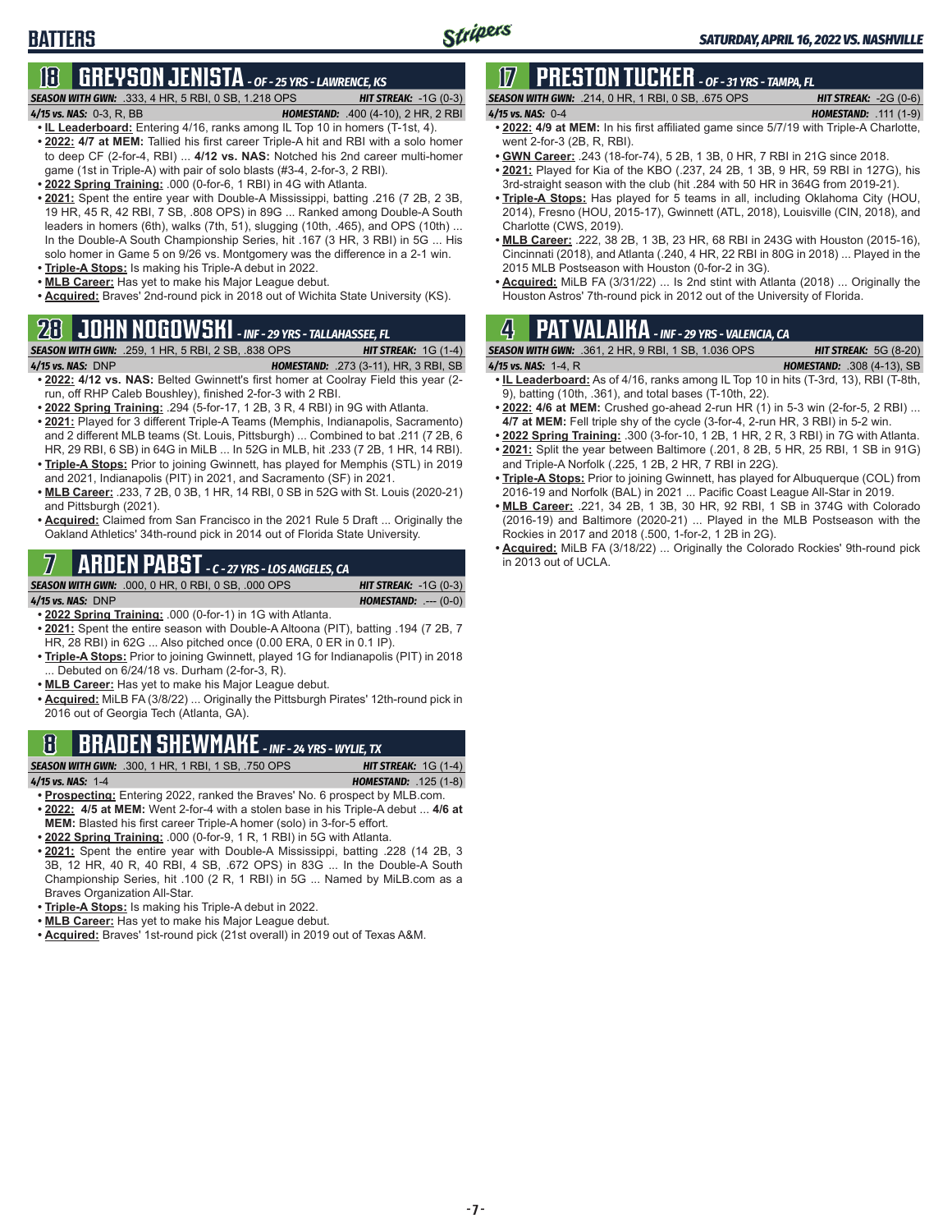# **BATTERS**

# **18 GREYSON JENISTA** *- OF - 25 YRS - LAWRENCE, KS*

#### *SEASON WITH GWN:*.333, 4 HR, 5 RBI, 0 SB, 1.218 OPS *HIT STREAK:* -1G (0-3) *4/15 vs. NAS:*0-3, R, BB *HOMESTAND:* .400 (4-10), 2 HR, 2 RBI

- **• IL Leaderboard:** Entering 4/16, ranks among IL Top 10 in homers (T-1st, 4).
- **• 2022: 4/7 at MEM:** Tallied his first career Triple-A hit and RBI with a solo homer to deep CF (2-for-4, RBI) ... **4/12 vs. NAS:** Notched his 2nd career multi-homer game (1st in Triple-A) with pair of solo blasts (#3-4, 2-for-3, 2 RBI).
- **• 2022 Spring Training:** .000 (0-for-6, 1 RBI) in 4G with Atlanta.
- **• 2021:** Spent the entire year with Double-A Mississippi, batting .216 (7 2B, 2 3B, 19 HR, 45 R, 42 RBI, 7 SB, .808 OPS) in 89G ... Ranked among Double-A South leaders in homers (6th), walks (7th, 51), slugging (10th, .465), and OPS (10th) ... In the Double-A South Championship Series, hit .167 (3 HR, 3 RBI) in 5G ... His solo homer in Game 5 on 9/26 vs. Montgomery was the difference in a 2-1 win.
- **• Triple-A Stops:** Is making his Triple-A debut in 2022.
- **• MLB Career:** Has yet to make his Major League debut. **• Acquired:** Braves' 2nd-round pick in 2018 out of Wichita State University (KS).

# **28 JOHN NOGOWSKI** *- INF - 29 YRS - TALLAHASSEE, FL*

*SEASON WITH GWN:*.259, 1 HR, 5 RBI, 2 SB, .838 OPS *HIT STREAK:* 1G (1-4) *4/15 vs. NAS:*DNP *HOMESTAND:* .273 (3-11), HR, 3 RBI, SB **• 2022: 4/12 vs. NAS:** Belted Gwinnett's first homer at Coolray Field this year (2-

- run, off RHP Caleb Boushley), finished 2-for-3 with 2 RBI. **• 2022 Spring Training:** .294 (5-for-17, 1 2B, 3 R, 4 RBI) in 9G with Atlanta.
- **• 2021:** Played for 3 different Triple-A Teams (Memphis, Indianapolis, Sacramento) and 2 different MLB teams (St. Louis, Pittsburgh) ... Combined to bat .211 (7 2B, 6 HR, 29 RBI, 6 SB) in 64G in MiLB ... In 52G in MLB, hit .233 (7 2B, 1 HR, 14 RBI). **• Triple-A Stops:** Prior to joining Gwinnett, has played for Memphis (STL) in 2019
- and 2021, Indianapolis (PIT) in 2021, and Sacramento (SF) in 2021. **• MLB Career:** .233, 7 2B, 0 3B, 1 HR, 14 RBI, 0 SB in 52G with St. Louis (2020-21) and Pittsburgh (2021).
- **• Acquired:** Claimed from San Francisco in the 2021 Rule 5 Draft ... Originally the Oakland Athletics' 34th-round pick in 2014 out of Florida State University.

## **7 ARDEN PABST** *- C - 27 YRS - LOS ANGELES, CA*

#### *SEASON WITH GWN:*.000, 0 HR, 0 RBI, 0 SB, .000 OPS *HIT STREAK:* -1G (0-3)

|  | 4/15 vs. NAS: DNF |
|--|-------------------|
|--|-------------------|

**• 2022 Spring Training:** .000 (0-for-1) in 1G with Atlanta.

- **• 2021:** Spent the entire season with Double-A Altoona (PIT), batting .194 (7 2B, 7 HR, 28 RBI) in 62G ... Also pitched once (0.00 ERA, 0 ER in 0.1 IP).
- **• Triple-A Stops:** Prior to joining Gwinnett, played 1G for Indianapolis (PIT) in 2018 ... Debuted on 6/24/18 vs. Durham (2-for-3, R).
- **• MLB Career:** Has yet to make his Major League debut.
- **• Acquired:** MiLB FA (3/8/22) ... Originally the Pittsburgh Pirates' 12th-round pick in 2016 out of Georgia Tech (Atlanta, GA).

## **8 BRADEN SHEWMAKE** *- INF - 24 YRS - WYLIE, TX*

*SEASON WITH GWN:*.300, 1 HR, 1 RBI, 1 SB, .750 OPS *HIT STREAK:* 1G (1-4) *4/15 vs. NAS:*1-4 *HOMESTAND:* .125 (1-8)

*4/15 vs. NAS:*DNP *HOMESTAND:* .--- (0-0)

- **• Prospecting:** Entering 2022, ranked the Braves' No. 6 prospect by MLB.com. **• 2022: 4/5 at MEM:** Went 2-for-4 with a stolen base in his Triple-A debut ... **4/6 at MEM:** Blasted his first career Triple-A homer (solo) in 3-for-5 effort.
- **• 2022 Spring Training:** .000 (0-for-9, 1 R, 1 RBI) in 5G with Atlanta.
- **• 2021:** Spent the entire year with Double-A Mississippi, batting .228 (14 2B, 3 3B, 12 HR, 40 R, 40 RBI, 4 SB, .672 OPS) in 83G ... In the Double-A South Championship Series, hit .100 (2 R, 1 RBI) in 5G ... Named by MiLB.com as a Braves Organization All-Star.
- **• Triple-A Stops:** Is making his Triple-A debut in 2022.
- **• MLB Career:** Has yet to make his Major League debut.
- **• Acquired:** Braves' 1st-round pick (21st overall) in 2019 out of Texas A&M.

# **17 PRESTON TUCKER** *- OF - 31 YRS - TAMPA, FL*

| <b>SEASON WITH GWN:</b> .214, 0 HR, 1 RBI, 0 SB, .675 OPS | <b>HIT STREAK:</b> $-2G(0-6)$ |
|-----------------------------------------------------------|-------------------------------|
| $4/15$ vs. NAS: $0-4$                                     | <b>HOMESTAND:</b> .111 (1-9)  |
|                                                           |                               |

- **• 2022: 4/9 at MEM:** In his first affiliated game since 5/7/19 with Triple-A Charlotte, went 2-for-3 (2B, R, RBI).
- **• GWN Career:** .243 (18-for-74), 5 2B, 1 3B, 0 HR, 7 RBI in 21G since 2018.
- **• 2021:** Played for Kia of the KBO (.237, 24 2B, 1 3B, 9 HR, 59 RBI in 127G), his 3rd-straight season with the club (hit .284 with 50 HR in 364G from 2019-21).
- **• Triple-A Stops:** Has played for 5 teams in all, including Oklahoma City (HOU, 2014), Fresno (HOU, 2015-17), Gwinnett (ATL, 2018), Louisville (CIN, 2018), and Charlotte (CWS, 2019).
- **• MLB Career:** .222, 38 2B, 1 3B, 23 HR, 68 RBI in 243G with Houston (2015-16), Cincinnati (2018), and Atlanta (.240, 4 HR, 22 RBI in 80G in 2018) ... Played in the 2015 MLB Postseason with Houston (0-for-2 in 3G).
- **• Acquired:** MiLB FA (3/31/22) ... Is 2nd stint with Atlanta (2018) ... Originally the Houston Astros' 7th-round pick in 2012 out of the University of Florida.

# **4 PAT VALAIKA** *- INF - 29 YRS - VALENCIA, CA*

*SEASON WITH GWN:*.361, 2 HR, 9 RBI, 1 SB, 1.036 OPS *HIT STREAK:* 5G (8-20)

*4/15 vs. NAS:*1-4, R *HOMESTAND:* .308 (4-13), SB

- **• IL Leaderboard:** As of 4/16, ranks among IL Top 10 in hits (T-3rd, 13), RBI (T-8th, 9), batting (10th, .361), and total bases (T-10th, 22).
- **• 2022: 4/6 at MEM:** Crushed go-ahead 2-run HR (1) in 5-3 win (2-for-5, 2 RBI) ... **4/7 at MEM:** Fell triple shy of the cycle (3-for-4, 2-run HR, 3 RBI) in 5-2 win.
- **• 2022 Spring Training:** .300 (3-for-10, 1 2B, 1 HR, 2 R, 3 RBI) in 7G with Atlanta.
- **• 2021:** Split the year between Baltimore (.201, 8 2B, 5 HR, 25 RBI, 1 SB in 91G)
- and Triple-A Norfolk (.225, 1 2B, 2 HR, 7 RBI in 22G).
- **• Triple-A Stops:** Prior to joining Gwinnett, has played for Albuquerque (COL) from 2016-19 and Norfolk (BAL) in 2021 ... Pacific Coast League All-Star in 2019.
- **• MLB Career:** .221, 34 2B, 1 3B, 30 HR, 92 RBI, 1 SB in 374G with Colorado (2016-19) and Baltimore (2020-21) ... Played in the MLB Postseason with the Rockies in 2017 and 2018 (.500, 1-for-2, 1 2B in 2G).
- **• Acquired:** MiLB FA (3/18/22) ... Originally the Colorado Rockies' 9th-round pick in 2013 out of UCLA.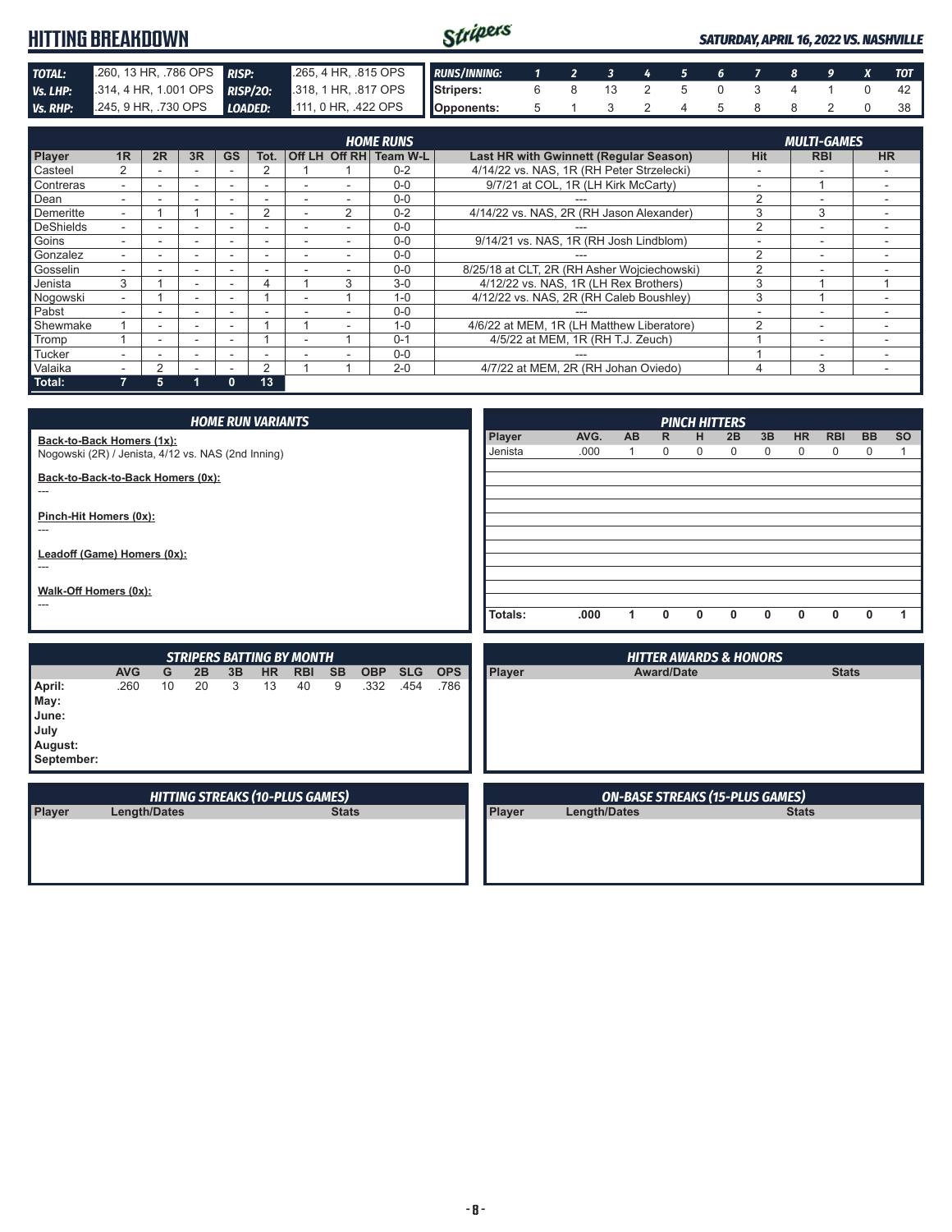|                 | <b>HITTING BREAKDOWN</b> |    |                          |              |                 |  |                      |                        |                                           | Stripers                            |                |    |               |   |          | <b>SATURDAY, APRIL 16, 2022 VS. NASHVILLE</b> |   |                          |   |                          |
|-----------------|--------------------------|----|--------------------------|--------------|-----------------|--|----------------------|------------------------|-------------------------------------------|-------------------------------------|----------------|----|---------------|---|----------|-----------------------------------------------|---|--------------------------|---|--------------------------|
| <b>TOTAL:</b>   | .260, 13 HR, .786 OPS    |    |                          | <b>RISP:</b> |                 |  | .265, 4 HR, .815 OPS |                        | <b>RUNS/INNING:</b>                       | 1                                   | $\overline{2}$ | 3  | 4             | 5 | 6        |                                               | 8 | 9                        | x | <b>TOT</b>               |
| <b>Vs. LHP:</b> | .314, 4 HR, 1.001 OPS    |    |                          |              | <b>RISP/20:</b> |  | .318, 1 HR, .817 OPS |                        | Stripers:                                 | 6                                   | 8              | 13 | 2             | 5 | $\Omega$ | 3                                             | 4 |                          | 0 | 42                       |
| <b>Vs. RHP:</b> | .245.9 HR. .730 OPS      |    |                          | LOADED:      |                 |  | 111, 0 HR, .422 OPS  |                        | Opponents:                                | 5                                   |                |    | $\mathcal{P}$ | 4 | 5        |                                               | 8 |                          | 0 | 38                       |
|                 |                          |    |                          |              |                 |  |                      |                        |                                           |                                     |                |    |               |   |          |                                               |   |                          |   |                          |
|                 |                          |    |                          |              |                 |  |                      | <b>HOME RUNS</b>       |                                           |                                     |                |    |               |   |          |                                               |   | <b>MULTI-GAMES</b>       |   |                          |
| <b>Player</b>   | 1 <sub>R</sub>           | 2R | 3R                       | <b>GS</b>    | Tot.            |  |                      | Off LH Off RH Team W-L | Last HR with Gwinnett (Regular Season)    |                                     |                |    |               |   |          | <b>Hit</b>                                    |   | <b>RBI</b>               |   | <b>HR</b>                |
| Casteel         | 2                        |    | $\overline{\phantom{0}}$ |              |                 |  |                      | $0 - 2$                | 4/14/22 vs. NAS, 1R (RH Peter Strzelecki) |                                     |                |    |               |   |          |                                               |   | -                        |   | $\overline{\phantom{0}}$ |
| Contreras       |                          |    |                          |              |                 |  |                      | $0 - 0$                |                                           | 9/7/21 at COL, 1R (LH Kirk McCarty) |                |    |               |   |          | $\overline{\phantom{a}}$                      |   |                          |   |                          |
| Dean            |                          |    | $\overline{\phantom{0}}$ | -            | -               |  |                      | $0 - 0$                |                                           |                                     | ---            |    |               |   |          | C                                             |   | $\overline{\phantom{0}}$ |   |                          |
| Demeritte       | ۰.                       |    |                          |              |                 |  |                      | $0 - 2$                | 4/14/22 vs. NAS, 2R (RH Jason Alexander)  |                                     |                |    |               |   |          | 3                                             |   | 3                        |   |                          |

| Goins    |   |   |                          |    |   | $0 - 0$ | 9/14/21 vs. NAS, 1R (RH Josh Lindblom)      |  |  |
|----------|---|---|--------------------------|----|---|---------|---------------------------------------------|--|--|
| Gonzalez |   |   |                          |    |   | $0-0$   |                                             |  |  |
| Gosselin |   |   |                          |    | - | $0-0$   | 8/25/18 at CLT, 2R (RH Asher Wojciechowski) |  |  |
| Jenista  |   |   |                          |    |   | $3-0$   | 4/12/22 vs. NAS, 1R (LH Rex Brothers)       |  |  |
| Nogowski |   |   | $\overline{\phantom{a}}$ |    |   | $1 - 0$ | 4/12/22 vs. NAS, 2R (RH Caleb Boushley)     |  |  |
| Pabst    |   |   | $\overline{\phantom{a}}$ |    |   | $0 - 0$ |                                             |  |  |
| Shewmake |   | - | -                        |    | - | $1 - 0$ | 4/6/22 at MEM, 1R (LH Matthew Liberatore)   |  |  |
| Tromp    |   |   | -                        |    |   | $0 - 1$ | 4/5/22 at MEM, 1R (RH T.J. Zeuch)           |  |  |
| Tucker   |   |   |                          |    |   | $0-0$   |                                             |  |  |
| Valaika  |   |   |                          |    |   | $2 - 0$ | 4/7/22 at MEM, 2R (RH Johan Oviedo)         |  |  |
| Total:   | 5 |   |                          | 13 |   |         |                                             |  |  |

|                                                          |                                                                                 |         |                                  | <b>HOME RUN VARIANTS</b> |                 |                  |                |                    |                    |                                        |         |      |           |                   | <b>PINCH HITTERS</b> |                                   |                   |                |                 |                          |           |
|----------------------------------------------------------|---------------------------------------------------------------------------------|---------|----------------------------------|--------------------------|-----------------|------------------|----------------|--------------------|--------------------|----------------------------------------|---------|------|-----------|-------------------|----------------------|-----------------------------------|-------------------|----------------|-----------------|--------------------------|-----------|
|                                                          | Back-to-Back Homers (1x):<br>Nogowski (2R) / Jenista, 4/12 vs. NAS (2nd Inning) |         |                                  |                          |                 |                  |                |                    |                    |                                        |         |      | <b>AB</b> | $\mathsf{R}$<br>0 | н<br>0               | 2B<br>0                           | 3B<br>$\mathbf 0$ | <b>HR</b><br>0 | <b>RBI</b><br>0 | <b>BB</b><br>$\mathbf 0$ | <b>SO</b> |
| Back-to-Back-to-Back Homers (0x):<br>---                 |                                                                                 |         |                                  |                          |                 |                  |                |                    |                    |                                        |         |      |           |                   |                      |                                   |                   |                |                 |                          |           |
| ---                                                      | Pinch-Hit Homers (0x):                                                          |         |                                  |                          |                 |                  |                |                    |                    |                                        |         |      |           |                   |                      |                                   |                   |                |                 |                          |           |
| Leadoff (Game) Homers (0x):<br>---                       |                                                                                 |         |                                  |                          |                 |                  |                |                    |                    |                                        |         |      |           |                   |                      |                                   |                   |                |                 |                          |           |
| Walk-Off Homers (0x):<br>---                             |                                                                                 |         |                                  |                          |                 |                  |                |                    |                    |                                        |         |      |           |                   |                      |                                   |                   |                |                 |                          |           |
|                                                          |                                                                                 |         |                                  |                          |                 |                  |                |                    |                    |                                        | Totals: | .000 | 1         | 0                 | 0                    | 0                                 | $\mathbf{0}$      | 0              | $\mathbf{0}$    | $\mathbf{0}$             | 1         |
|                                                          |                                                                                 |         | <b>STRIPERS BATTING BY MONTH</b> |                          |                 |                  |                |                    |                    |                                        |         |      |           |                   |                      | <b>HITTER AWARDS &amp; HONORS</b> |                   |                |                 |                          |           |
| April:<br>May:<br>June:<br>July<br>August:<br>September: | <b>AVG</b><br>.260                                                              | G<br>10 | 2B<br>20                         | 3B<br>3                  | <b>HR</b><br>13 | <b>RBI</b><br>40 | <b>SB</b><br>9 | <b>OBP</b><br>.332 | <b>SLG</b><br>.454 | <b>OPS</b><br>.786                     | Player  |      |           | <b>Award/Date</b> |                      |                                   |                   |                | <b>Stats</b>    |                          |           |
| <b>HITTING STREAKS (10-PLUS GAMES)</b>                   |                                                                                 |         |                                  |                          |                 |                  |                |                    |                    | <b>ON-BASE STREAKS (15-PLUS GAMES)</b> |         |      |           |                   |                      |                                   |                   |                |                 |                          |           |
| Player                                                   | <b>Stats</b><br><b>Length/Dates</b>                                             |         |                                  |                          |                 |                  |                |                    | Player             | Length/Dates                           |         |      |           |                   |                      | <b>Stats</b>                      |                   |                |                 |                          |           |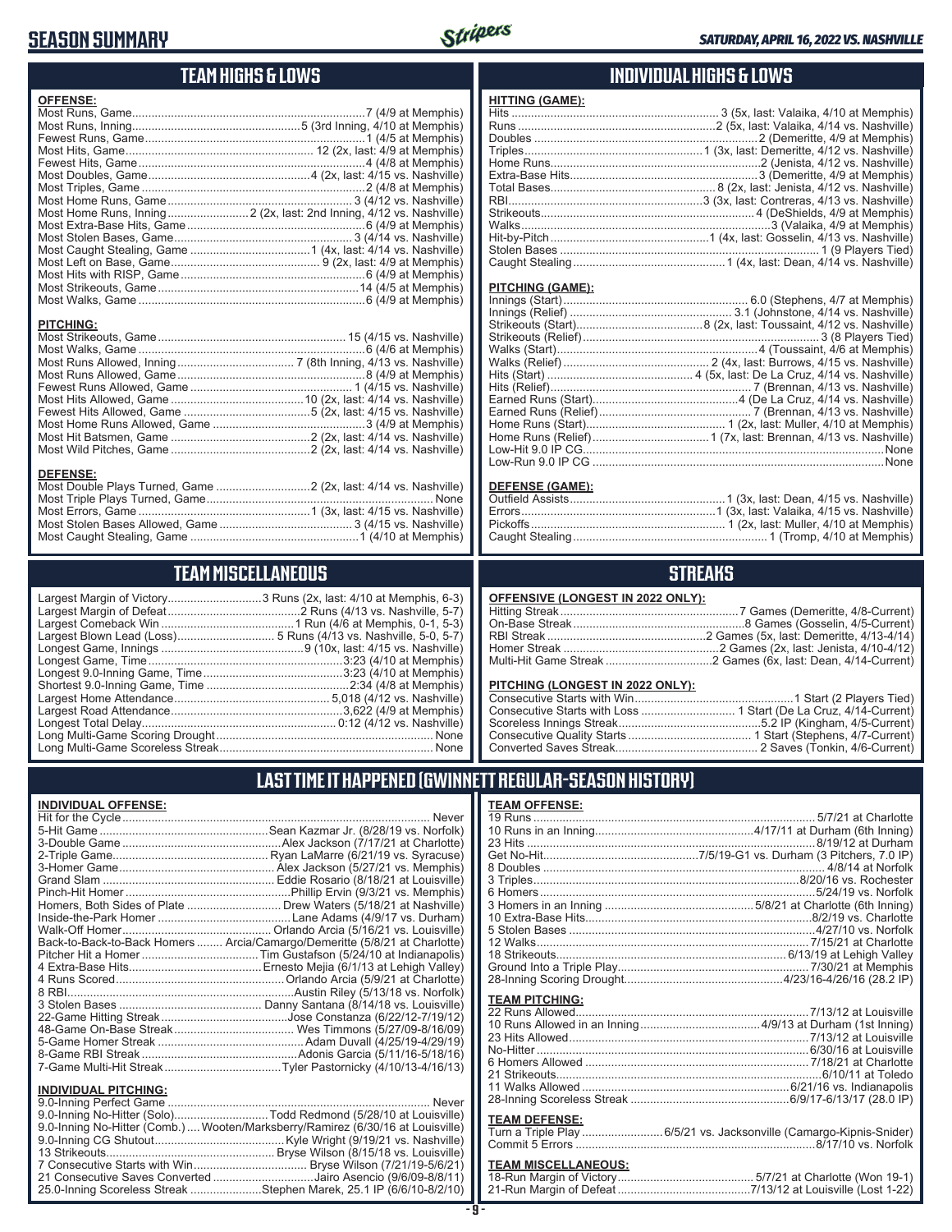## **SEASON SUMMARY**



## **TEAM HIGHS & LOWS**

| <b>OFFENSE:</b>                    |                                                                     |
|------------------------------------|---------------------------------------------------------------------|
|                                    |                                                                     |
|                                    |                                                                     |
|                                    |                                                                     |
|                                    |                                                                     |
|                                    |                                                                     |
|                                    |                                                                     |
|                                    |                                                                     |
|                                    | Most Home Runs, Inning 2 (2x, last: 2nd Inning, 4/12 vs. Nashville) |
|                                    |                                                                     |
|                                    |                                                                     |
|                                    |                                                                     |
|                                    |                                                                     |
|                                    |                                                                     |
|                                    |                                                                     |
|                                    |                                                                     |
| <b>PITCHING:</b>                   |                                                                     |
|                                    |                                                                     |
|                                    |                                                                     |
|                                    |                                                                     |
|                                    |                                                                     |
|                                    |                                                                     |
|                                    |                                                                     |
|                                    |                                                                     |
|                                    |                                                                     |
|                                    |                                                                     |
|                                    |                                                                     |
| <b>DEFENSE:</b>                    |                                                                     |
| $M$ sat Dauble Dlave Tumsed, Camer | $0/(0, t)$ loot $4/4$ $t \rightarrow 0$ Normalize                   |

| <b>DEFENSE:</b> |  |  |
|-----------------|--|--|
|                 |  |  |
|                 |  |  |
|                 |  |  |
|                 |  |  |

### **TEAM MISCELLANEOUS**

Most Caught Stealing, Game ....................................................1 (4/10 at Memphis)

| Long Multi-Game Scoreless Streak | None |
|----------------------------------|------|

Largest Comeback Win .........................................1 Run (4/6 at Memphis, 0-1, 5-3) ................ 5 Runs (4/13 vs. Nashville, 5-0, 5-7) ......................9 (10x, last: 4/15 vs. Nashville) Longest Game, Time ............................................................3:23 (4/10 at Memphis) ................................3:23 (4/10 at Memphis) Shortest 9.0-Inning Game, Time ............................................2:34 (4/8 at Memphis) Largest Home Attendance ................................................ 5,018 (4/12 vs. Nashville) Largest Road Attendance .....................................................3,622 (4/9 at Memphis) Longest Total Delay............................................................ 0:12 (4/12 vs. Nashville) Long Multi-Game Scoring Drought ................................................................... None Long Multi-Game Scoreless Streak .................................................................. None

## **INDIVIDUAL HIGHS & LOWS**

| <b>HITTING (GAME):</b> |  |
|------------------------|--|
|                        |  |
|                        |  |
|                        |  |
|                        |  |
|                        |  |
|                        |  |
|                        |  |
|                        |  |
|                        |  |
|                        |  |
|                        |  |
|                        |  |
|                        |  |

#### **PITCHING (GAME):**

| Low-Run 9.0 IP CG …………………………………………………………………………………None |
|-------------------------------------------------------|

#### **DEFENSE (GAME):**

### **STREAKS**

#### **OFFENSIVE (LONGEST IN 2022 ONLY):**

| <u> U. . Enuite (Europeul III euse Unei II</u> |  |
|------------------------------------------------|--|
|                                                |  |
|                                                |  |
|                                                |  |
|                                                |  |
|                                                |  |
|                                                |  |

#### **PITCHING (LONGEST IN 2022 ONLY):**

### **LAST TIME IT HAPPENED (GWINNETT REGULAR-SEASON HISTORY)**

#### **INDIVIDUAL OFFENSE:**

|                                                        | Homers, Both Sides of Plate  Drew Waters (5/18/21 at Nashville)            |
|--------------------------------------------------------|----------------------------------------------------------------------------|
|                                                        |                                                                            |
|                                                        |                                                                            |
|                                                        | Back-to-Back-to-Back Homers  Arcia/Camargo/Demeritte (5/8/21 at Charlotte) |
|                                                        |                                                                            |
|                                                        |                                                                            |
|                                                        |                                                                            |
|                                                        |                                                                            |
|                                                        |                                                                            |
|                                                        |                                                                            |
|                                                        |                                                                            |
|                                                        |                                                                            |
|                                                        |                                                                            |
|                                                        |                                                                            |
|                                                        |                                                                            |
| <b>INDIVIDUAL PITCHING:</b><br>0.0 Inning Porfoot Camo | Novor                                                                      |
|                                                        |                                                                            |

| 9.0-Inning No-Hitter (Solo)Todd Redmond (5/28/10 at Louisville)                |  |
|--------------------------------------------------------------------------------|--|
| 9.0-Inning No-Hitter (Comb.) Wooten/Marksberry/Ramirez (6/30/16 at Louisville) |  |
|                                                                                |  |
|                                                                                |  |
|                                                                                |  |
| 21 Consecutive Saves Converted Jairo Asencio (9/6/09-8/8/11)                   |  |
| 25.0-Inning Scoreless Streak Stephen Marek, 25.1 IP (6/6/10-8/2/10)            |  |
|                                                                                |  |

| <u>TEAM OFFENSE:</u>       |                                                                   |
|----------------------------|-------------------------------------------------------------------|
|                            |                                                                   |
|                            |                                                                   |
|                            |                                                                   |
|                            |                                                                   |
|                            |                                                                   |
|                            |                                                                   |
|                            |                                                                   |
|                            |                                                                   |
|                            |                                                                   |
|                            |                                                                   |
|                            |                                                                   |
|                            |                                                                   |
|                            |                                                                   |
|                            |                                                                   |
| <b>TEAM PITCHING:</b>      |                                                                   |
|                            |                                                                   |
|                            |                                                                   |
|                            |                                                                   |
|                            |                                                                   |
|                            |                                                                   |
|                            |                                                                   |
|                            |                                                                   |
|                            |                                                                   |
| <b>TEAM DEFENSE:</b>       |                                                                   |
|                            | Turn a Triple Play6/5/21 vs. Jacksonville (Camargo-Kipnis-Snider) |
|                            |                                                                   |
|                            |                                                                   |
| <b>TEAM MISCELLANEOUS:</b> |                                                                   |
|                            |                                                                   |

# 21-Run Mar